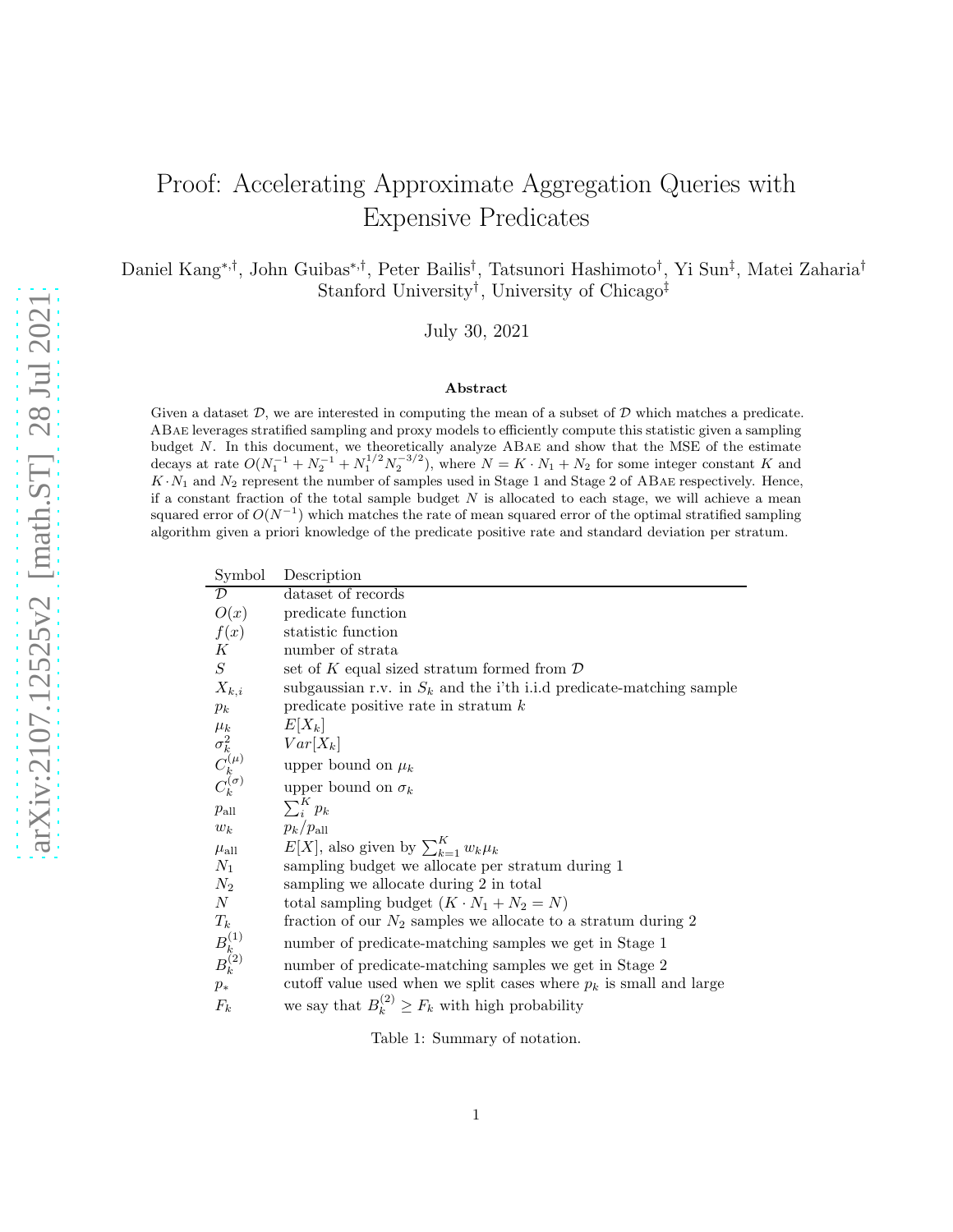# Proof: Accelerating Approximate Aggregation Queries with Expensive Predicates

Daniel Kang<sup>∗</sup>,† , John Guibas<sup>∗</sup>,† , Peter Bailis† , Tatsunori Hashimoto† , Yi Sun‡ , Matei Zaharia† Stanford University<sup>†</sup>, University of Chicago<sup>‡</sup>

July 30, 2021

#### Abstract

Given a dataset  $\mathcal{D}$ , we are interested in computing the mean of a subset of  $\mathcal{D}$  which matches a predicate. ABae leverages stratified sampling and proxy models to efficiently compute this statistic given a sampling budget  $N$ . In this document, we theoretically analyze  $ABAE$  and show that the MSE of the estimate decays at rate  $O(N_1^{-1} + N_2^{-1} + N_1^{1/2} N_2^{-3/2})$ , where  $N = K \cdot N_1 + N_2$  for some integer constant K and  $K \cdot N_1$  and  $N_2$  represent the number of samples used in Stage 1 and Stage 2 of ABAE respectively. Hence, if a constant fraction of the total sample budget  $N$  is allocated to each stage, we will achieve a mean squared error of  $O(N^{-1})$  which matches the rate of mean squared error of the optimal stratified sampling algorithm given a priori knowledge of the predicate positive rate and standard deviation per stratum.

| Symbol                                              | Description                                                            |
|-----------------------------------------------------|------------------------------------------------------------------------|
| $\overline{\mathcal{D}}$                            | dataset of records                                                     |
| O(x)                                                | predicate function                                                     |
| f(x)                                                | statistic function                                                     |
| $\boldsymbol{K}$                                    | number of strata                                                       |
| $\,$                                                | set of K equal sized stratum formed from $\mathcal D$                  |
| $X_{k,i}$                                           | subgaussian r.v. in $S_k$ and the i'th i.i.d predicate-matching sample |
| $p_k$                                               | predicate positive rate in stratum $k$                                 |
|                                                     | $E X_k $                                                               |
|                                                     | $Var[X_k]$                                                             |
| $\mu_k \ \sigma_k^2 \ C_k^{(\mu)} \ C_k^{(\sigma)}$ | upper bound on $\mu_k$                                                 |
|                                                     | upper bound on $\sigma_k$                                              |
| $p_{\rm all}$                                       | $\sum_{i}^{K} p_k$                                                     |
| $w_k$                                               | $p_k/p_{\rm all}$                                                      |
| $\mu_{\rm all}$                                     | $E[X]$ , also given by $\sum_{k=1}^{K} w_k \mu_k$                      |
| $N_1$                                               | sampling budget we allocate per stratum during 1                       |
| $N_{2}$                                             | sampling we allocate during 2 in total                                 |
| $\boldsymbol{N}$                                    | total sampling budget $(K \cdot N_1 + N_2 = N)$                        |
| $T_k$                                               | fraction of our $N_2$ samples we allocate to a stratum during 2        |
| $B_{k}^{(1)}$<br>$B_{k}^{(2)}$                      | number of predicate-matching samples we get in Stage 1                 |
|                                                     | number of predicate-matching samples we get in Stage 2                 |
| $p_*$                                               | cutoff value used when we split cases where $p_k$ is small and large   |
| $F_k$                                               | we say that $B_k^{(2)} \geq F_k$ with high probability                 |
|                                                     |                                                                        |

<span id="page-0-0"></span>Table 1: Summary of notation.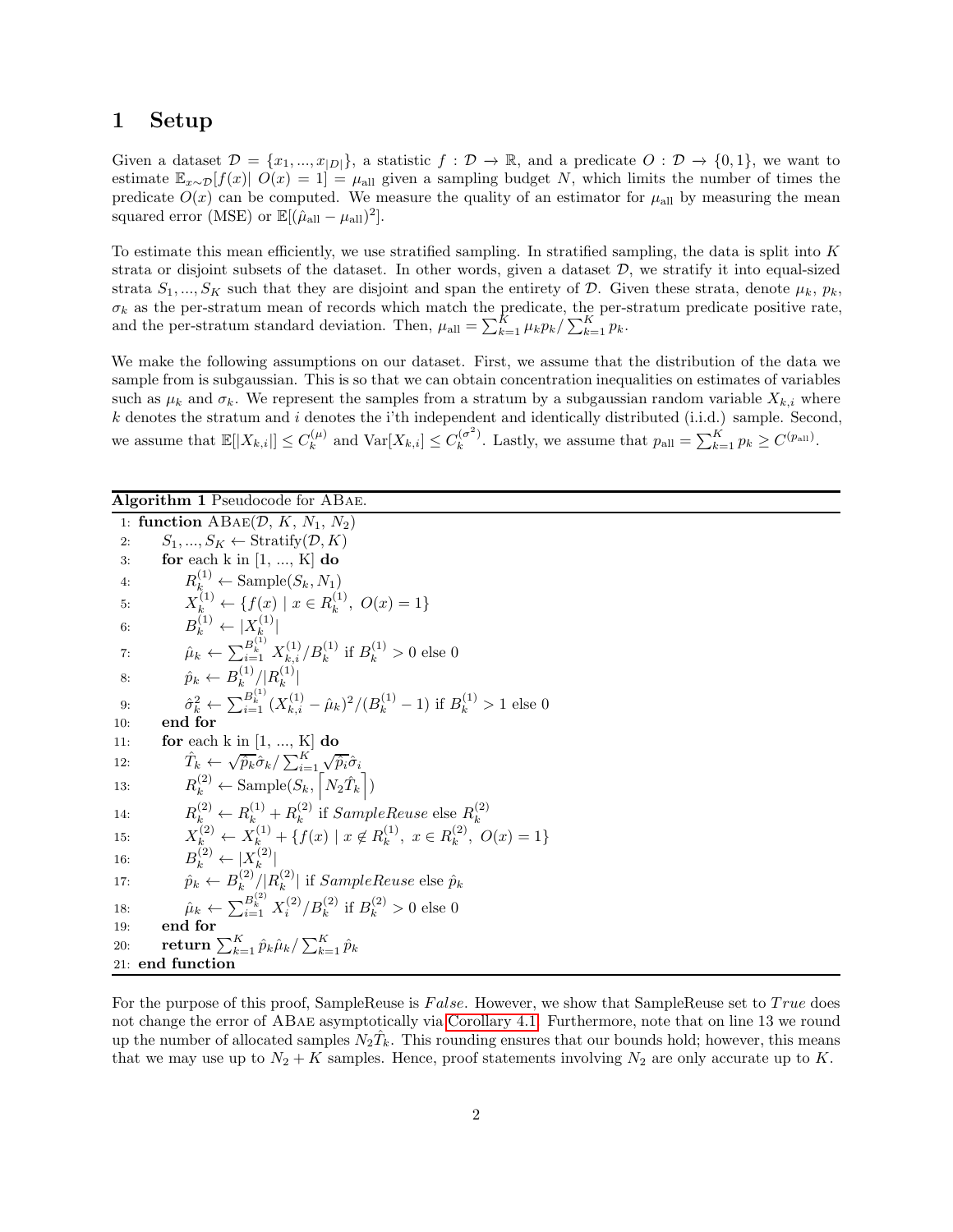### 1 Setup

Given a dataset  $\mathcal{D} = \{x_1, ..., x_{|D|}\}\$ , a statistic  $f : \mathcal{D} \to \mathbb{R}$ , and a predicate  $O : \mathcal{D} \to \{0, 1\}\$ , we want to estimate  $\mathbb{E}_{x\sim\mathcal{D}}[f(x)]$   $O(x) = 1$  =  $\mu$ <sub>all</sub> given a sampling budget N, which limits the number of times the predicate  $O(x)$  can be computed. We measure the quality of an estimator for  $\mu_{all}$  by measuring the mean squared error (MSE) or  $\mathbb{E}[(\hat{\mu}_{\text{all}} - \mu_{\text{all}})^2]$ .

To estimate this mean efficiently, we use stratified sampling. In stratified sampling, the data is split into  $K$ strata or disjoint subsets of the dataset. In other words, given a dataset  $\mathcal{D}$ , we stratify it into equal-sized strata  $S_1, ..., S_K$  such that they are disjoint and span the entirety of D. Given these strata, denote  $\mu_k, p_k$ ,  $\sigma_k$  as the per-stratum mean of records which match the predicate, the per-stratum predicate positive rate, and the per-stratum standard deviation. Then,  $\mu_{all} = \sum_{k=1}^{K} \mu_k p_k / \sum_{k=1}^{K} p_k$ .

We make the following assumptions on our dataset. First, we assume that the distribution of the data we sample from is subgaussian. This is so that we can obtain concentration inequalities on estimates of variables such as  $\mu_k$  and  $\sigma_k$ . We represent the samples from a stratum by a subgaussian random variable  $X_{k,i}$  where k denotes the stratum and i denotes the i'th independent and identically distributed (i.i.d.) sample. Second, we assume that  $\mathbb{E}[|X_{k,i}|] \leq C_k^{(\mu)}$  $k_k^{(\mu)}$  and  $\text{Var}[X_{k,i}] \leq C_k^{(\sigma^2)}$  $\int_k^{(\sigma^2)}$ . Lastly, we assume that  $p_{\text{all}} = \sum_{k=1}^K p_k \ge C^{(p_{\text{all}})}$ .

<span id="page-1-0"></span>Algorithm 1 Pseudocode for ABae. 1: function  $ABAE(D, K, N_1, N_2)$ <br>2:  $S_1, ..., S_K \leftarrow \text{Stratify}(D, K)$ 2:  $S_1, ..., S_K \leftarrow \text{Stratify}(\mathcal{D}, K)$ <br>3: **for** each k in [1, ..., K] **do** for each  $k$  in  $[1, ..., K]$  do 4:  $R_k^{(1)} \leftarrow \text{Sample}(S_k, N_1)$ 5:  $X_k^{(1)} \leftarrow \{f(x) \mid x \in R_k^{(1)}\}$  $\binom{1}{k}$ ,  $O(x) = 1$ 6:  $B_k^{(1)} \leftarrow |X_k^{(1)}|$  $\ket{k}$ 7:  $\hat{\mu}_k \leftarrow \sum_{i=1}^{B_k^{(1)}} X_{k,i}^{(1)}/B_k^{(1)}$  if  $B_k^{(1)} > 0$  else 0 8:  $\hat{p}_k \leftarrow B_k^{(1)}$  $\binom{(1)}{k} / \lfloor R_k^{(1)} \rfloor$  $|k|$ 9:  $\hat{\sigma}_k^2 \leftarrow \sum_{i=1}^{B_k^{(1)}} (X_{k,i}^{(1)} - \hat{\mu}_k)^2 / (B_k^{(1)} - 1)$  if  $B_k^{(1)} > 1$  else 0 10: end for 11: **for** each k in  $[1, ..., K]$  do 12:  $\hat{T}_k \leftarrow \sqrt{\hat{p}_k} \hat{\sigma}_k / \sum_{i=1}^K \sqrt{\hat{p}_i} \hat{\sigma}_i$ 13:  $R_k^{(2)} \leftarrow \text{Sample}(S_k, \left\lceil N_2 \hat{T}_k \right\rceil)$ 14:  $R_k^{(2)} \leftarrow R_k^{(1)} + R_k^{(2)}$  $k^{(2)}_k$  if SampleReuse else  $R_k^{(2)}$ k 15:  $X_{k}^{(2)} \leftarrow X_{k}^{(1)} + \{f(x) \mid x \notin R_k^{(1)}\}$  $\binom{1}{k}, x \in R_k^{(2)}$  $\{A_k^{(2)} \leftarrow X_k^{(1)} + \{f(x) \mid x \notin R_k^{(1)}, x \in R_k^{(2)}, O(x) = 1\}$ <br>  $\{A_k^{(2)} \leftarrow |X_k^{(2)}|$ 16: B  $|k|$ 17:  $\hat{p}_k \leftarrow B_k^{(2)}$  $\binom{(2)}{k} / \binom{R^{(2)}}{k}$  $|k^{(2)}|$  if  $SampleReuse$  else  $\hat{p}_k$ 18:  $\hat{\mu}_k \leftarrow \sum_{i=1}^{B_k^{(2)}} X_i^{(2)}/B_k^{(2)}$  if  $B_k^{(2)} > 0$  else 0 19: end for 20: return  $\sum_{k=1}^K \hat{p}_k \hat{\mu}_k / \sum_{k=1}^K \hat{p}_k$ 21: end function

For the purpose of this proof, SampleReuse is False. However, we show that SampleReuse set to True does not change the error of ABae asymptotically via [Corollary 4.1.](#page-15-0) Furthermore, note that on line 13 we round up the number of allocated samples  $N_2\hat{T}_k$ . This rounding ensures that our bounds hold; however, this means that we may use up to  $N_2 + K$  samples. Hence, proof statements involving  $N_2$  are only accurate up to K.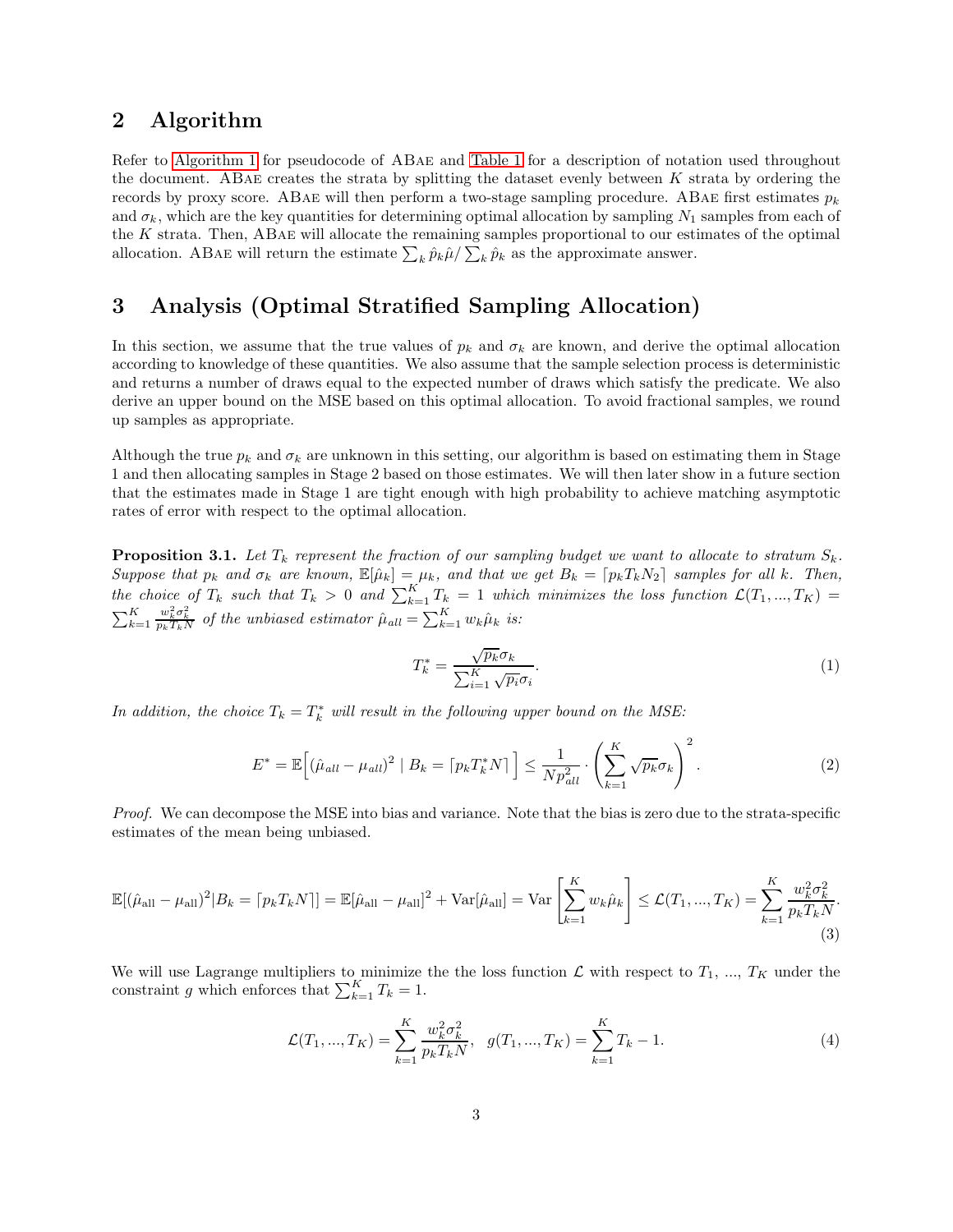### 2 Algorithm

Refer to [Algorithm 1](#page-1-0) for pseudocode of ABae and [Table 1](#page-0-0) for a description of notation used throughout the document. ABae creates the strata by splitting the dataset evenly between K strata by ordering the records by proxy score. ABAE will then perform a two-stage sampling procedure. ABAE first estimates  $p_k$ and  $\sigma_k$ , which are the key quantities for determining optimal allocation by sampling  $N_1$  samples from each of the K strata. Then, ABae will allocate the remaining samples proportional to our estimates of the optimal allocation. ABAE will return the estimate  $\sum_k \hat{p}_k \hat{\mu} / \sum_k \hat{p}_k$  as the approximate answer.

# 3 Analysis (Optimal Stratified Sampling Allocation)

In this section, we assume that the true values of  $p_k$  and  $\sigma_k$  are known, and derive the optimal allocation according to knowledge of these quantities. We also assume that the sample selection process is deterministic and returns a number of draws equal to the expected number of draws which satisfy the predicate. We also derive an upper bound on the MSE based on this optimal allocation. To avoid fractional samples, we round up samples as appropriate.

Although the true  $p_k$  and  $\sigma_k$  are unknown in this setting, our algorithm is based on estimating them in Stage 1 and then allocating samples in Stage 2 based on those estimates. We will then later show in a future section that the estimates made in Stage 1 are tight enough with high probability to achieve matching asymptotic rates of error with respect to the optimal allocation.

**Proposition 3.1.** Let  $T_k$  represent the fraction of our sampling budget we want to allocate to stratum  $S_k$ . Suppose that  $p_k$  and  $\sigma_k$  are known,  $\mathbb{E}[\hat{\mu}_k] = \mu_k$ , and that we get  $B_k = [p_kT_kN_2]$  samples for all k. Then, the choice of  $T_k$  such that  $T_k > 0$  and  $\sum_{k=1}^K T_k = 1$  which minimizes the loss function  $\mathcal{L}(T_1, ..., T_K) =$  $\sum_{k=1}^K$  $\frac{w_k^2 \sigma_k^2}{p_k T_k N}$  of the unbiased estimator  $\hat{\mu}_{all} = \sum_{k=1}^{K} w_k \hat{\mu}_k$  is:

$$
T_k^* = \frac{\sqrt{p_k} \sigma_k}{\sum_{i=1}^K \sqrt{p_i} \sigma_i}.
$$
\n<sup>(1)</sup>

In addition, the choice  $T_k = T_k^*$  will result in the following upper bound on the MSE:

$$
E^* = \mathbb{E}\Big[(\hat{\mu}_{all} - \mu_{all})^2 \mid B_k = \lceil p_k T_k^* N \rceil\Big] \le \frac{1}{N p_{all}^2} \cdot \left(\sum_{k=1}^K \sqrt{p_k} \sigma_k\right)^2. \tag{2}
$$

Proof. We can decompose the MSE into bias and variance. Note that the bias is zero due to the strata-specific estimates of the mean being unbiased.

$$
\mathbb{E}[(\hat{\mu}_{\text{all}} - \mu_{\text{all}})^2 | B_k = [p_k T_k N]] = \mathbb{E}[\hat{\mu}_{\text{all}} - \mu_{\text{all}}]^2 + \text{Var}[\hat{\mu}_{\text{all}}] = \text{Var}\left[\sum_{k=1}^K w_k \hat{\mu}_k\right] \le \mathcal{L}(T_1, ..., T_K) = \sum_{k=1}^K \frac{w_k^2 \sigma_k^2}{p_k T_k N}.
$$
\n(3)

We will use Lagrange multipliers to minimize the the loss function  $\mathcal L$  with respect to  $T_1, ..., T_K$  under the constraint g which enforces that  $\sum_{k=1}^{K} T_k = 1$ .

$$
\mathcal{L}(T_1, ..., T_K) = \sum_{k=1}^{K} \frac{w_k^2 \sigma_k^2}{p_k T_k N}, \quad g(T_1, ..., T_K) = \sum_{k=1}^{K} T_k - 1.
$$
\n(4)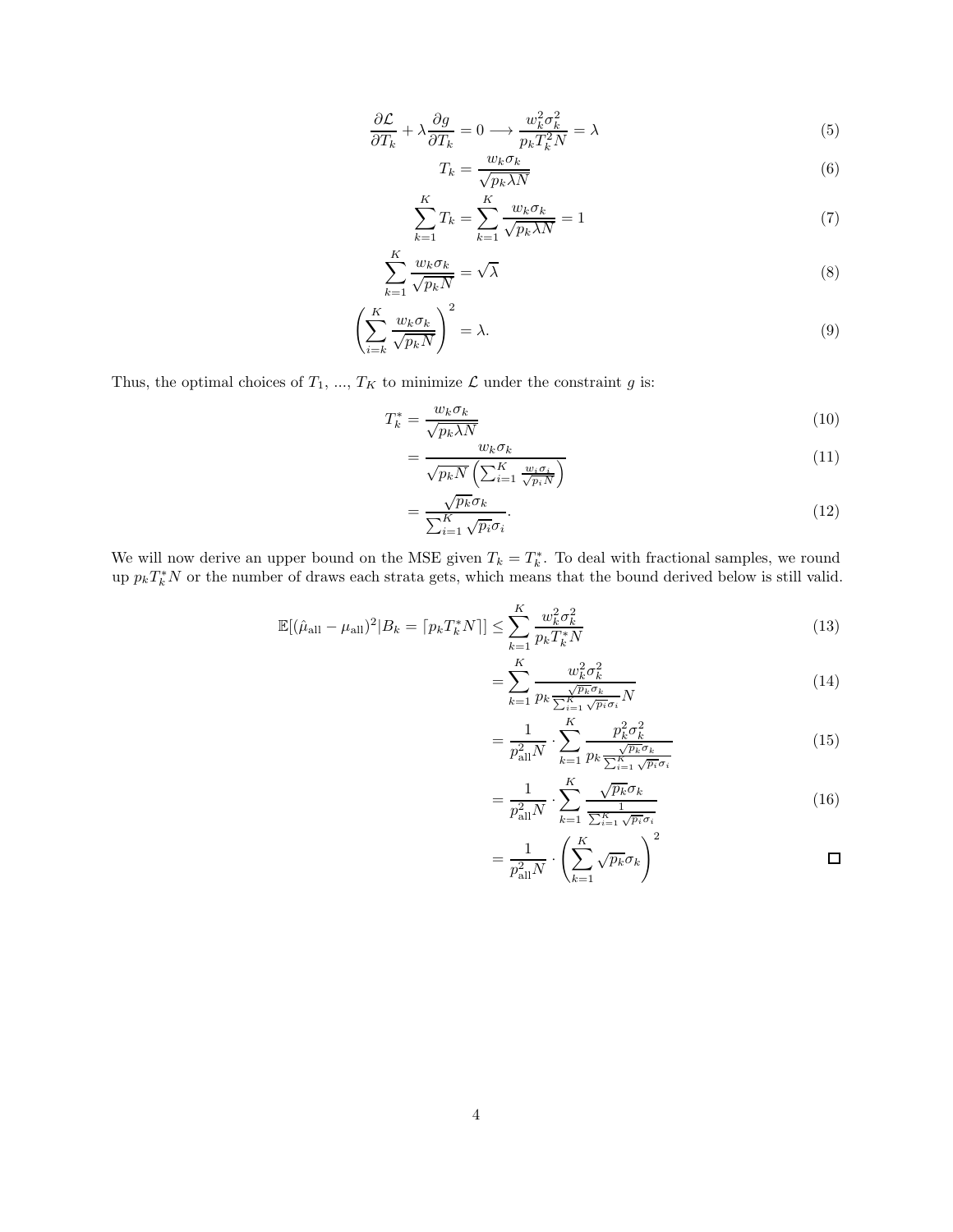$$
\frac{\partial \mathcal{L}}{\partial T_k} + \lambda \frac{\partial g}{\partial T_k} = 0 \longrightarrow \frac{w_k^2 \sigma_k^2}{p_k T_k^2 N} = \lambda
$$
\n(5)

$$
T_k = \frac{w_k \sigma_k}{\sqrt{p_k \lambda N}}
$$
\n<sup>(6)</sup>

$$
\sum_{k=1}^{K} T_k = \sum_{k=1}^{K} \frac{w_k \sigma_k}{\sqrt{p_k \lambda N}} = 1
$$
\n(7)

$$
\sum_{k=1}^{K} \frac{w_k \sigma_k}{\sqrt{p_k N}} = \sqrt{\lambda}
$$
\n(8)

$$
\left(\sum_{i=k}^{K} \frac{w_k \sigma_k}{\sqrt{p_k N}}\right)^2 = \lambda.
$$
\n(9)

Thus, the optimal choices of  $T_1$ , ...,  $T_K$  to minimize  $\mathcal L$  under the constraint  $g$  is:

$$
T_k^* = \frac{w_k \sigma_k}{\sqrt{p_k \lambda N}}\tag{10}
$$

$$
=\frac{w_k \sigma_k}{\sqrt{p_k N} \left(\sum_{i=1}^K \frac{w_i \sigma_i}{\sqrt{p_i N}}\right)}
$$
(11)

$$
=\frac{\sqrt{p_k}\sigma_k}{\sum_{i=1}^K\sqrt{p_i}\sigma_i}.\tag{12}
$$

We will now derive an upper bound on the MSE given  $T_k = T_k^*$ . To deal with fractional samples, we round up  $p_k T_k^* N$  or the number of draws each strata gets, which means that the bound derived below is still valid.

$$
\mathbb{E}[(\hat{\mu}_{\text{all}} - \mu_{\text{all}})^2 | B_k = [p_k T_k^* N]] \le \sum_{k=1}^K \frac{w_k^2 \sigma_k^2}{p_k T_k^* N}
$$
(13)

$$
=\sum_{k=1}^{K} \frac{w_k^2 \sigma_k^2}{p_k \frac{\sqrt{p_k} \sigma_k}{\sum_{i=1}^{K} \sqrt{p_i} \sigma_i} N}
$$
(14)

$$
=\frac{1}{p_{\rm all}^2 N} \cdot \sum_{k=1}^K \frac{p_k^2 \sigma_k^2}{p_k \frac{\sqrt{p_k} \sigma_k}{\sum_{i=1}^K \sqrt{p_i} \sigma_i}}
$$
(15)

$$
= \frac{1}{p_{\text{all}}^2 N} \cdot \sum_{k=1}^K \frac{\sqrt{p_k} \sigma_k}{\frac{1}{\sum_{i=1}^K \sqrt{p_i} \sigma_i}}
$$
(16)

$$
= \frac{1}{p_{\rm all}^2 N} \cdot \left( \sum_{k=1}^K \sqrt{p_k} \sigma_k \right)^2 \qquad \qquad \Box
$$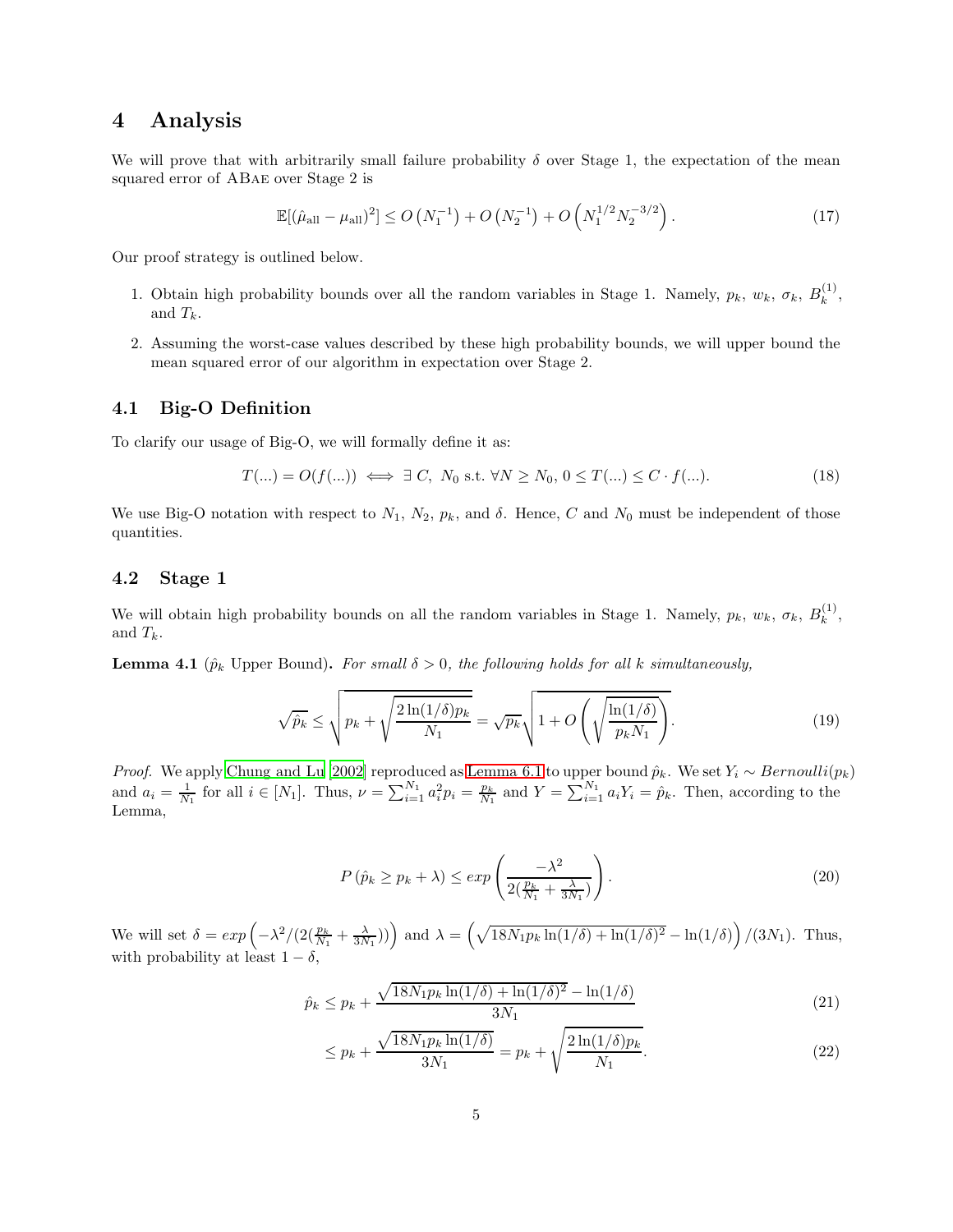### 4 Analysis

We will prove that with arbitrarily small failure probability  $\delta$  over Stage 1, the expectation of the mean squared error of ABae over Stage 2 is

$$
\mathbb{E}[(\hat{\mu}_{\text{all}} - \mu_{\text{all}})^2] \le O\left(N_1^{-1}\right) + O\left(N_2^{-1}\right) + O\left(N_1^{1/2} N_2^{-3/2}\right). \tag{17}
$$

Our proof strategy is outlined below.

- 1. Obtain high probability bounds over all the random variables in Stage 1. Namely,  $p_k$ ,  $w_k$ ,  $\sigma_k$ ,  $B_k^{(1)}$  $\binom{1}{k}$ and  $T_k$ .
- 2. Assuming the worst-case values described by these high probability bounds, we will upper bound the mean squared error of our algorithm in expectation over Stage 2.

### 4.1 Big-O Definition

To clarify our usage of Big-O, we will formally define it as:

$$
T(\ldots) = O(f(\ldots)) \iff \exists C, \ N_0 \text{ s.t. } \forall N \ge N_0, 0 \le T(\ldots) \le C \cdot f(\ldots). \tag{18}
$$

We use Big-O notation with respect to  $N_1$ ,  $N_2$ ,  $p_k$ , and  $\delta$ . Hence, C and  $N_0$  must be independent of those quantities.

#### 4.2 Stage 1

<span id="page-4-0"></span>We will obtain high probability bounds on all the random variables in Stage 1. Namely,  $p_k$ ,  $w_k$ ,  $\sigma_k$ ,  $B_k^{(1)}$  $\binom{1}{k}$ and  $T_k$ .

**Lemma 4.1** ( $\hat{p}_k$  Upper Bound). For small  $\delta > 0$ , the following holds for all k simultaneously,

$$
\sqrt{\hat{p}_k} \le \sqrt{p_k + \sqrt{\frac{2\ln(1/\delta)p_k}{N_1}}} = \sqrt{p_k} \sqrt{1 + O\left(\sqrt{\frac{\ln(1/\delta)}{p_k N_1}}\right)}.
$$
\n(19)

*Proof.* We apply [Chung and Lu \[2002\]](#page-17-0) reproduced as [Lemma 6.1](#page-17-1) to upper bound  $\hat{p}_k$ . We set  $Y_i \sim Bernoulli(p_k)$ and  $a_i = \frac{1}{N_1}$  for all  $i \in [N_1]$ . Thus,  $\nu = \sum_{i=1}^{N_1} a_i^2 p_i = \frac{p_k}{N_1}$  and  $Y = \sum_{i=1}^{N_1} a_i Y_i = \hat{p}_k$ . Then, according to the Lemma,

$$
P\left(\hat{p}_k \ge p_k + \lambda\right) \le \exp\left(\frac{-\lambda^2}{2\left(\frac{p_k}{N_1} + \frac{\lambda}{3N_1}\right)}\right). \tag{20}
$$

We will set  $\delta = \exp \left( -\lambda^2/(2(\frac{p_k}{N_1} + \frac{\lambda}{3N_1})) \right)$  and  $\lambda = \left( \sqrt{18N_1p_k \ln(1/\delta) + \ln(1/\delta)^2} - \ln(1/\delta) \right) / (3N_1)$ . Thus, with probability at least  $1 - \delta$ ,

$$
\hat{p}_k \le p_k + \frac{\sqrt{18N_1p_k \ln(1/\delta) + \ln(1/\delta)^2} - \ln(1/\delta)}{3N_1} \tag{21}
$$

$$
\leq p_k + \frac{\sqrt{18N_1p_k \ln(1/\delta)}}{3N_1} = p_k + \sqrt{\frac{2\ln(1/\delta)p_k}{N_1}}.
$$
\n(22)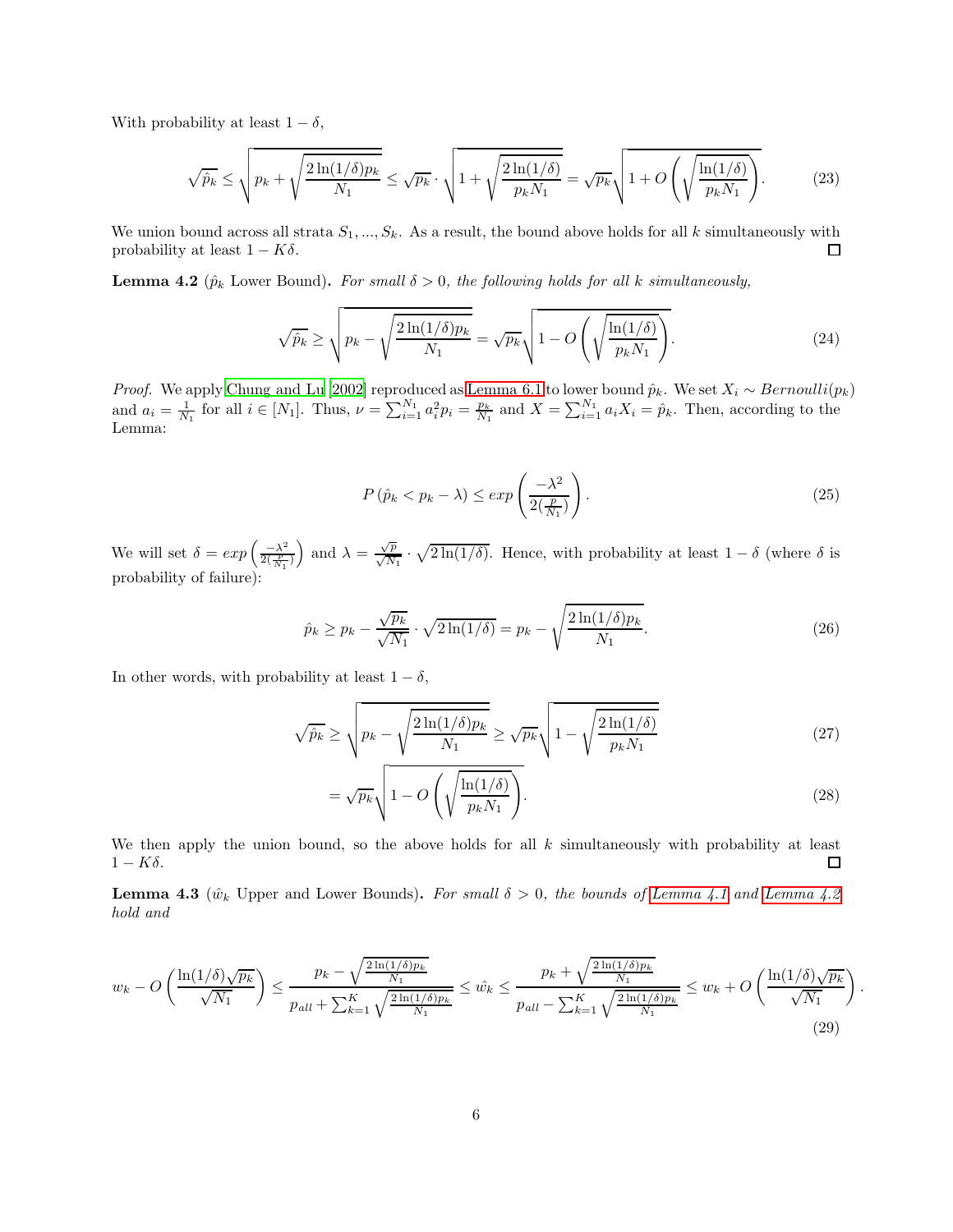With probability at least  $1 - \delta$ ,

$$
\sqrt{\hat{p}_k} \le \sqrt{p_k + \sqrt{\frac{2\ln(1/\delta)p_k}{N_1}}} \le \sqrt{p_k} \cdot \sqrt{1 + \sqrt{\frac{2\ln(1/\delta)}{p_k N_1}}} = \sqrt{p_k} \sqrt{1 + O\left(\sqrt{\frac{\ln(1/\delta)}{p_k N_1}}\right)}.
$$
(23)

We union bound across all strata  $S_1, ..., S_k$ . As a result, the bound above holds for all k simultaneously with probability at least  $1 - K\delta$ .  $\Box$ 

<span id="page-5-0"></span>**Lemma 4.2** ( $\hat{p}_k$  Lower Bound). For small  $\delta > 0$ , the following holds for all k simultaneously,

$$
\sqrt{\hat{p}_k} \ge \sqrt{p_k - \sqrt{\frac{2\ln(1/\delta)p_k}{N_1}}} = \sqrt{p_k} \sqrt{1 - O\left(\sqrt{\frac{\ln(1/\delta)}{p_k N_1}}\right)}.
$$
\n(24)

*Proof.* We apply [Chung and Lu \[2002\]](#page-17-0) reproduced as [Lemma 6.1](#page-17-1) to lower bound  $\hat{p}_k$ . We set  $X_i \sim Bernoulli(p_k)$ and  $a_i = \frac{1}{N_1}$  for all  $i \in [N_1]$ . Thus,  $\nu = \sum_{i=1}^{N_1} a_i^2 p_i = \frac{p_k}{N_1}$  and  $X = \sum_{i=1}^{N_1} a_i X_i = \hat{p}_k$ . Then, according to the Lemma:

$$
P\left(\hat{p}_k < p_k - \lambda\right) \le \exp\left(\frac{-\lambda^2}{2\left(\frac{p}{N_1}\right)}\right). \tag{25}
$$

We will set  $\delta = exp\left(\frac{-\lambda^2}{2(\frac{p}{N_1})}\right)$  and  $\lambda = \frac{\sqrt{p}}{\sqrt{N_1}} \cdot \sqrt{2\ln(1/\delta)}$ . Hence, with probability at least  $1 - \delta$  (where  $\delta$  is probability of failure):

$$
\hat{p}_k \ge p_k - \frac{\sqrt{p_k}}{\sqrt{N_1}} \cdot \sqrt{2\ln(1/\delta)} = p_k - \sqrt{\frac{2\ln(1/\delta)p_k}{N_1}}.
$$
\n(26)

In other words, with probability at least  $1 - \delta$ ,

$$
\sqrt{\hat{p}_k} \ge \sqrt{p_k - \sqrt{\frac{2\ln(1/\delta)p_k}{N_1}}} \ge \sqrt{p_k} \sqrt{1 - \sqrt{\frac{2\ln(1/\delta)}{p_k N_1}}}
$$
(27)

$$
= \sqrt{p_k} \sqrt{1 - O\left(\sqrt{\frac{\ln(1/\delta)}{p_k N_1}}\right)}.
$$
\n(28)

We then apply the union bound, so the above holds for all  $k$  simultaneously with probability at least  $1 - K\delta$ .  $\Box$ 

<span id="page-5-1"></span>**Lemma 4.3** ( $\hat{w}_k$  Upper and Lower Bounds). For small  $\delta > 0$ , the bounds of [Lemma 4.1](#page-4-0) and [Lemma 4.2](#page-5-0) hold and

$$
w_k - O\left(\frac{\ln(1/\delta)\sqrt{p_k}}{\sqrt{N_1}}\right) \le \frac{p_k - \sqrt{\frac{2\ln(1/\delta)p_k}{N_1}}}{p_{all} + \sum_{k=1}^K \sqrt{\frac{2\ln(1/\delta)p_k}{N_1}}} \le \hat{w_k} \le \frac{p_k + \sqrt{\frac{2\ln(1/\delta)p_k}{N_1}}}{p_{all} - \sum_{k=1}^K \sqrt{\frac{2\ln(1/\delta)p_k}{N_1}}} \le w_k + O\left(\frac{\ln(1/\delta)\sqrt{p_k}}{\sqrt{N_1}}\right).
$$
\n(29)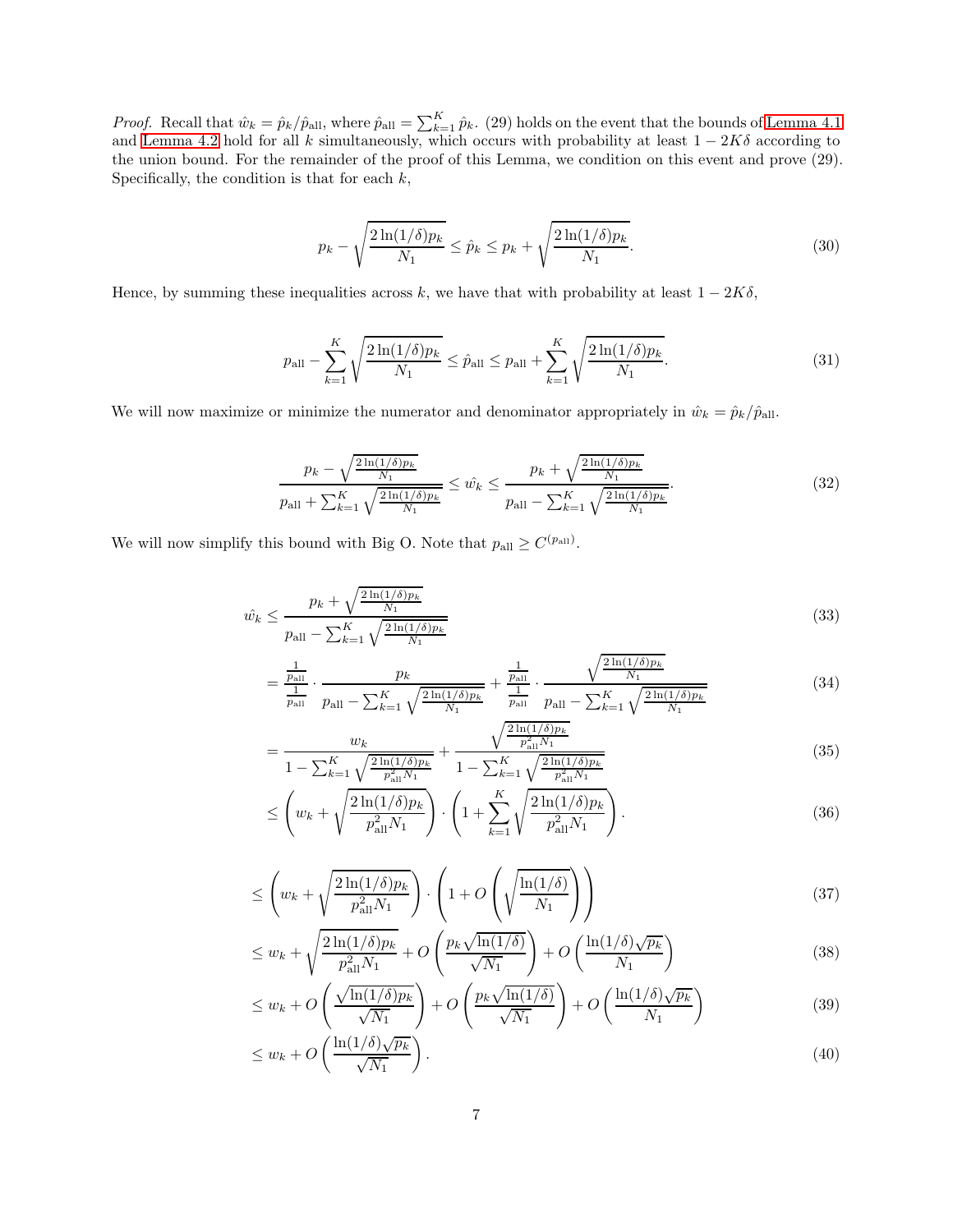*Proof.* Recall that  $\hat{w}_k = \hat{p}_k / \hat{p}_{all}$ , where  $\hat{p}_{all} = \sum_{k=1}^K \hat{p}_k$ . (29) holds on the event that the bounds of [Lemma 4.1](#page-4-0) and [Lemma 4.2](#page-5-0) hold for all k simultaneously, which occurs with probability at least  $1 - 2K\delta$  according to the union bound. For the remainder of the proof of this Lemma, we condition on this event and prove (29). Specifically, the condition is that for each  $k$ ,

$$
p_k - \sqrt{\frac{2\ln(1/\delta)p_k}{N_1}} \le \hat{p}_k \le p_k + \sqrt{\frac{2\ln(1/\delta)p_k}{N_1}}.\tag{30}
$$

Hence, by summing these inequalities across k, we have that with probability at least  $1 - 2K\delta$ ,

$$
p_{\rm all} - \sum_{k=1}^{K} \sqrt{\frac{2\ln(1/\delta)p_k}{N_1}} \le \hat{p}_{\rm all} \le p_{\rm all} + \sum_{k=1}^{K} \sqrt{\frac{2\ln(1/\delta)p_k}{N_1}}.
$$
\n(31)

We will now maximize or minimize the numerator and denominator appropriately in  $\hat{w}_k = \hat{p}_k/\hat{p}_{\text{all}}$ .

$$
\frac{p_k - \sqrt{\frac{2\ln(1/\delta)p_k}{N_1}}}{p_{\text{all}} + \sum_{k=1}^K \sqrt{\frac{2\ln(1/\delta)p_k}{N_1}}} \le \hat{w_k} \le \frac{p_k + \sqrt{\frac{2\ln(1/\delta)p_k}{N_1}}}{p_{\text{all}} - \sum_{k=1}^K \sqrt{\frac{2\ln(1/\delta)p_k}{N_1}}}.
$$
\n(32)

We will now simplify this bound with Big O. Note that  $p_{\text{all}} \geq C^{(p_{\text{all}})}$ .

$$
\hat{w_k} \le \frac{p_k + \sqrt{\frac{2\ln(1/\delta)p_k}{N_1}}}{p_{\text{all}} - \sum_{k=1}^K \sqrt{\frac{2\ln(1/\delta)p_k}{N_1}}} \tag{33}
$$

$$
= \frac{\frac{1}{p_{\text{all}}}}{\frac{1}{p_{\text{all}}}} \cdot \frac{p_k}{p_{\text{all}} - \sum_{k=1}^K \sqrt{\frac{2\ln(1/\delta)p_k}{N_1}}} + \frac{\frac{1}{p_{\text{all}}}}{\frac{1}{p_{\text{all}}}} \cdot \frac{\sqrt{\frac{2\ln(1/\delta)p_k}{N_1}}}{p_{\text{all}} - \sum_{k=1}^K \sqrt{\frac{2\ln(1/\delta)p_k}{N_1}}} \tag{34}
$$

$$
= \frac{w_k}{1 - \sum_{k=1}^{K} \sqrt{\frac{2\ln(1/\delta)p_k}{p_{\rm all}^2 N_1}}} + \frac{\sqrt{\frac{2\ln(1/\delta)p_k}{p_{\rm all}^2 N_1}}}{1 - \sum_{k=1}^{K} \sqrt{\frac{2\ln(1/\delta)p_k}{p_{\rm all}^2 N_1}}} \tag{35}
$$

$$
\leq \left(w_k + \sqrt{\frac{2\ln(1/\delta)p_k}{p_{\rm all}^2 N_1}}\right) \cdot \left(1 + \sum_{k=1}^K \sqrt{\frac{2\ln(1/\delta)p_k}{p_{\rm all}^2 N_1}}\right). \tag{36}
$$

$$
\leq \left(w_k + \sqrt{\frac{2\ln(1/\delta)p_k}{p_{\text{all}}^2 N_1}}\right) \cdot \left(1 + O\left(\sqrt{\frac{\ln(1/\delta)}{N_1}}\right)\right) \tag{37}
$$

$$
\leq w_k + \sqrt{\frac{2\ln(1/\delta)p_k}{p_{\text{all}}^2 N_1}} + O\left(\frac{p_k\sqrt{\ln(1/\delta)}}{\sqrt{N_1}}\right) + O\left(\frac{\ln(1/\delta)\sqrt{p_k}}{N_1}\right) \tag{38}
$$

$$
\leq w_k + O\left(\frac{\sqrt{\ln(1/\delta)p_k}}{\sqrt{N_1}}\right) + O\left(\frac{p_k\sqrt{\ln(1/\delta)}}{\sqrt{N_1}}\right) + O\left(\frac{\ln(1/\delta)\sqrt{p_k}}{N_1}\right) \tag{39}
$$

$$
\leq w_k + O\left(\frac{\ln(1/\delta)\sqrt{p_k}}{\sqrt{N_1}}\right). \tag{40}
$$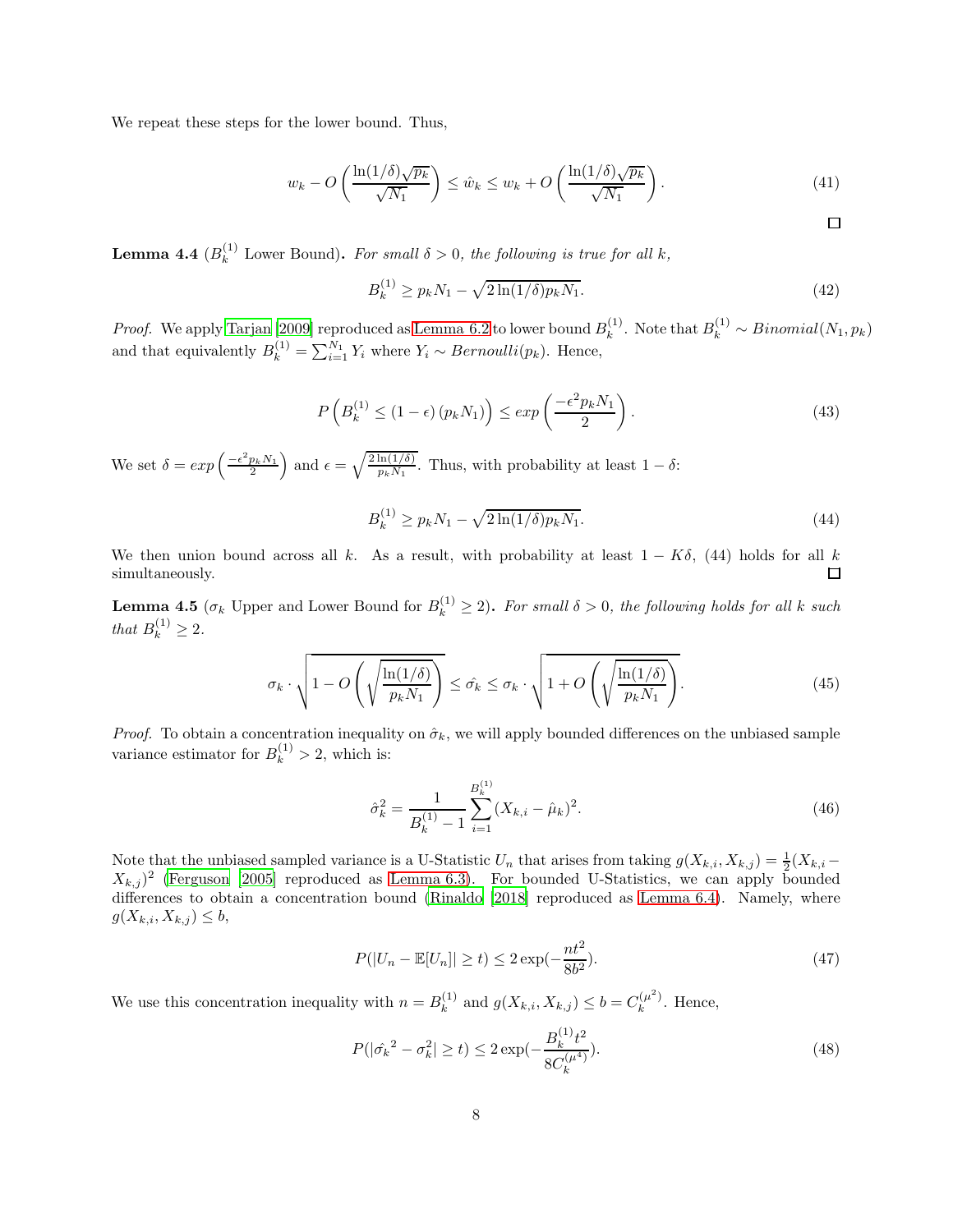We repeat these steps for the lower bound. Thus,

$$
w_k - O\left(\frac{\ln(1/\delta)\sqrt{p_k}}{\sqrt{N_1}}\right) \le \hat{w}_k \le w_k + O\left(\frac{\ln(1/\delta)\sqrt{p_k}}{\sqrt{N_1}}\right). \tag{41}
$$

<span id="page-7-0"></span>**Lemma 4.4** ( $B_k^{(1)}$  Lower Bound). For small  $\delta > 0$ , the following is true for all k,

$$
B_k^{(1)} \ge p_k N_1 - \sqrt{2\ln(1/\delta)p_k N_1}.
$$
\n(42)

 $\Box$ 

*Proof.* We apply [Tarjan \[2009](#page-17-2)] reproduced as [Lemma 6.2](#page-17-3) to lower bound  $B_k^{(1)}$ <sup>(1)</sup>. Note that  $B_k^{(1)} \sim Binomial(N_1, p_k)$ and that equivalently  $B_k^{(1)} = \sum_{i=1}^{N_1} Y_i$  where  $Y_i \sim Bernoulli(p_k)$ . Hence,

$$
P\left(B_k^{(1)} \le (1 - \epsilon) \left(p_k N_1\right)\right) \le \exp\left(\frac{-\epsilon^2 p_k N_1}{2}\right). \tag{43}
$$

We set  $\delta = exp\left(\frac{-\epsilon^2 p_k N_1}{2}\right)$  and  $\epsilon = \sqrt{\frac{2 \ln(1/\delta)}{p_k N_1}}$ . Thus, with probability at least  $1 - \delta$ :

$$
B_k^{(1)} \ge p_k N_1 - \sqrt{2\ln(1/\delta)p_k N_1}.
$$
\n(44)

We then union bound across all k. As a result, with probability at least  $1 - K\delta$ , (44) holds for all k simultaneously. simultaneously.

<span id="page-7-1"></span>**Lemma 4.5** ( $\sigma_k$  Upper and Lower Bound for  $B_k^{(1)} \geq 2$ ). For small  $\delta > 0$ , the following holds for all k such that  $B_k^{(1)} \geq 2$ .

$$
\sigma_k \cdot \sqrt{1 - O\left(\sqrt{\frac{\ln(1/\delta)}{p_k N_1}}\right)} \le \hat{\sigma_k} \le \sigma_k \cdot \sqrt{1 + O\left(\sqrt{\frac{\ln(1/\delta)}{p_k N_1}}\right)}.
$$
\n(45)

*Proof.* To obtain a concentration inequality on  $\hat{\sigma}_k$ , we will apply bounded differences on the unbiased sample variance estimator for  $B_k^{(1)} > 2$ , which is:

$$
\hat{\sigma}_k^2 = \frac{1}{B_k^{(1)} - 1} \sum_{i=1}^{B_k^{(1)}} (X_{k,i} - \hat{\mu}_k)^2.
$$
\n(46)

Note that the unbiased sampled variance is a U-Statistic  $U_n$  that arises from taking  $g(X_{k,i}, X_{k,j}) = \frac{1}{2}(X_{k,i} (X_{k,j})^2$  [\(Ferguson \[2005\]](#page-17-4) reproduced as [Lemma 6.3\)](#page-17-5). For bounded U-Statistics, we can apply bounded differences to obtain a concentration bound [\(Rinaldo \[2018\]](#page-17-6) reproduced as [Lemma 6.4\)](#page-17-7). Namely, where  $g(X_{k,i}, X_{k,j}) \leq b,$ 

$$
P(|U_n - \mathbb{E}[U_n]| \ge t) \le 2 \exp(-\frac{nt^2}{8b^2}).
$$
\n(47)

We use this concentration inequality with  $n = B_k^{(1)}$ <sup>(1)</sup> and  $g(X_{k,i}, X_{k,j}) \leq b = C_k^{(\mu^2)}$  $\int_k^{(\mu)}$ . Hence,

$$
P(|\hat{\sigma_k}^2 - \sigma_k^2| \ge t) \le 2 \exp(-\frac{B_k^{(1)}t^2}{8C_k^{(\mu^4)}}). \tag{48}
$$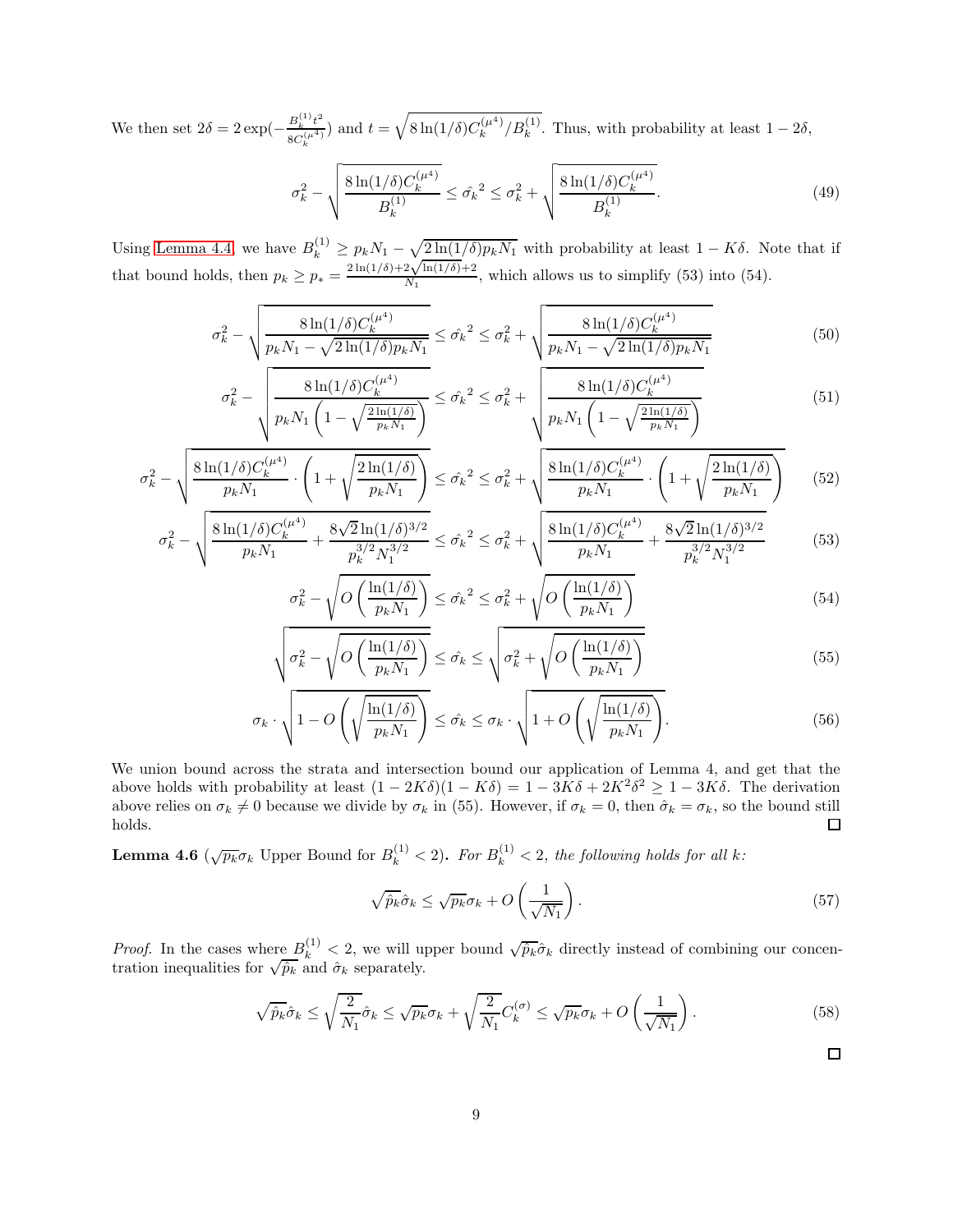We then set  $2\delta = 2 \exp(-\frac{B_k^{(1)}t^2}{8C^{(\mu^4)}})$  $\frac{B_k^{(1)}t^2}{8C_k^{(\mu^4)}}$  and  $t = \sqrt{8\ln(1/\delta)C_k^{(\mu^4)}}$  $\binom{\mu^{4}}{k}$ / $B_k^{(1)}$ . Thus, with probability at least  $1-2\delta$ ,

$$
\sigma_k^2 - \sqrt{\frac{8\ln(1/\delta)C_k^{(\mu^4)}}{B_k^{(1)}}} \leq \hat{\sigma_k}^2 \leq \hat{\sigma_k}^2 + \sqrt{\frac{8\ln(1/\delta)C_k^{(\mu^4)}}{B_k^{(1)}}}. \tag{49}
$$

Using [Lemma 4.4,](#page-7-0) we have  $B_k^{(1)} \ge p_k N_1 - \sqrt{\frac{2\ln(1/\delta)p_k N_1}{N}}$  with probability at least  $1 - K\delta$ . Note that if that bound holds, then  $p_k \geq p_*$  =  $2\ln(1/\delta) + 2\sqrt{\ln(1/\delta)} + 2$  $\frac{\text{N}_{\text{M}_{1}}(1/\sigma)+2}{\text{N}_{1}}$ , which allows us to simplify (53) into (54).

$$
\sigma_k^2 - \sqrt{\frac{8\ln(1/\delta)C_k^{(\mu^4)}}{p_k N_1 - \sqrt{2\ln(1/\delta)p_k N_1}}} \leq \hat{\sigma_k}^2 \leq \sigma_k^2 + \sqrt{\frac{8\ln(1/\delta)C_k^{(\mu^4)}}{p_k N_1 - \sqrt{2\ln(1/\delta)p_k N_1}}}
$$
(50)

$$
\sigma_k^2 - \sqrt{\frac{8\ln(1/\delta)C_k^{(\mu^4)}}{p_k N_1 \left(1 - \sqrt{\frac{2\ln(1/\delta)}{p_k N_1}}\right)}} \leq \hat{\sigma_k}^2 \leq \sigma_k^2 + \sqrt{\frac{8\ln(1/\delta)C_k^{(\mu^4)}}{p_k N_1 \left(1 - \sqrt{\frac{2\ln(1/\delta)}{p_k N_1}}\right)}}\tag{51}
$$

$$
\sigma_k^2 - \sqrt{\frac{8\ln(1/\delta)C_k^{(\mu^4)}}{p_k N_1} \cdot \left(1 + \sqrt{\frac{2\ln(1/\delta)}{p_k N_1}}\right)} \leq \hat{\sigma_k}^2 \leq \sigma_k^2 + \sqrt{\frac{8\ln(1/\delta)C_k^{(\mu^4)}}{p_k N_1} \cdot \left(1 + \sqrt{\frac{2\ln(1/\delta)}{p_k N_1}}\right)} \tag{52}
$$

$$
\sigma_k^2 - \sqrt{\frac{8\ln(1/\delta)C_k^{(\mu^4)}}{p_k N_1} + \frac{8\sqrt{2}\ln(1/\delta)^{3/2}}{p_k^{3/2} N_1^{3/2}}} \leq \hat{\sigma_k}^2 \leq \sigma_k^2 + \sqrt{\frac{8\ln(1/\delta)C_k^{(\mu^4)}}{p_k N_1} + \frac{8\sqrt{2}\ln(1/\delta)^{3/2}}{p_k^{3/2} N_1^{3/2}}} \tag{53}
$$

$$
\sigma_k^2 - \sqrt{O\left(\frac{\ln(1/\delta)}{p_k N_1}\right)} \le \hat{\sigma_k}^2 \le \sigma_k^2 + \sqrt{O\left(\frac{\ln(1/\delta)}{p_k N_1}\right)}
$$
(54)

$$
\sqrt{\sigma_k^2 - \sqrt{O\left(\frac{\ln(1/\delta)}{p_k N_1}\right)}} \le \hat{\sigma_k} \le \sqrt{\sigma_k^2 + \sqrt{O\left(\frac{\ln(1/\delta)}{p_k N_1}\right)}} \tag{55}
$$

$$
\sigma_k \cdot \sqrt{1 - O\left(\sqrt{\frac{\ln(1/\delta)}{p_k N_1}}\right)} \leq \hat{\sigma_k} \leq \sigma_k \cdot \sqrt{1 + O\left(\sqrt{\frac{\ln(1/\delta)}{p_k N_1}}\right)}.
$$
\n(56)

We union bound across the strata and intersection bound our application of Lemma 4, and get that the above holds with probability at least  $(1 - 2K\delta)(1 - K\delta) = 1 - 3K\delta + 2K^2\delta^2 \ge 1 - 3K\delta$ . The derivation above relies on  $\sigma_k \neq 0$  because we divide by  $\sigma_k$  in (55). However, if  $\sigma_k = 0$ , then  $\hat{\sigma}_k = \sigma_k$ , so the bound still holds. holds.

<span id="page-8-1"></span>**Lemma 4.6** ( $\sqrt{p_k} \sigma_k$  Upper Bound for  $B_k^{(1)} < 2$ ). For  $B_k^{(1)} < 2$ , the following holds for all k:

$$
\sqrt{\hat{p}_k}\hat{\sigma}_k \le \sqrt{p_k}\sigma_k + O\left(\frac{1}{\sqrt{N_1}}\right). \tag{57}
$$

<span id="page-8-0"></span>*Proof.* In the cases where  $B_k^{(1)} < 2$ , we will upper bound  $\sqrt{\hat{p}_k} \hat{\sigma}_k$  directly instead of combining our concentration inequalities for  $\sqrt{\hat{p}_k}$  and  $\hat{\sigma}_k$  separately.

$$
\sqrt{\hat{p}_k}\hat{\sigma}_k \le \sqrt{\frac{2}{N_1}}\hat{\sigma}_k \le \sqrt{p_k}\sigma_k + \sqrt{\frac{2}{N_1}}C_k^{(\sigma)} \le \sqrt{p_k}\sigma_k + O\left(\frac{1}{\sqrt{N_1}}\right). \tag{58}
$$

 $\Box$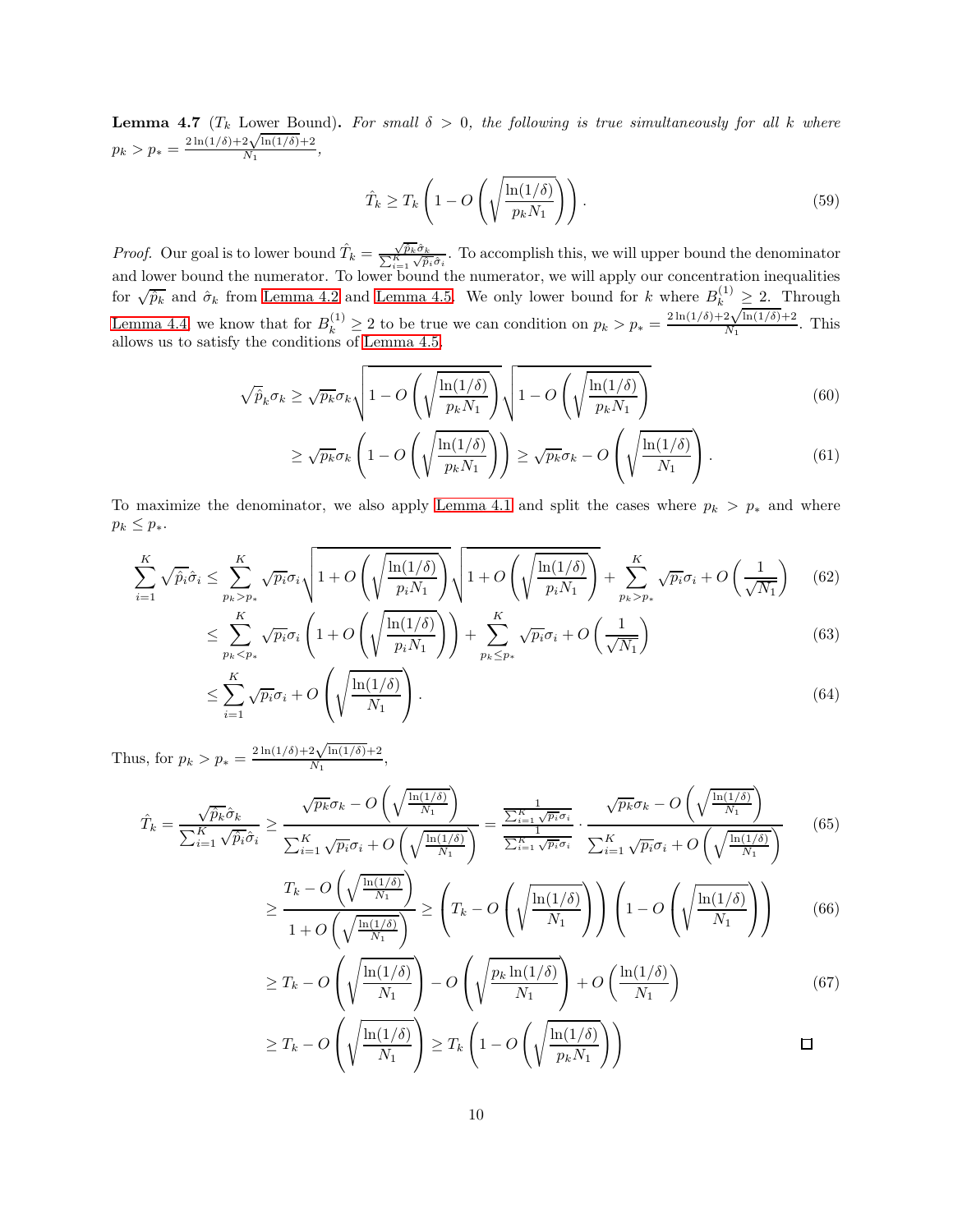**Lemma 4.7** ( $T_k$  Lower Bound). For small  $\delta > 0$ , the following is true simultaneously for all k where  $p_k > p_* =$  $2\ln(1/\delta) + 2\sqrt{\ln(1/\delta)} + 2$  $\frac{Z\sqrt{m(1/\theta)+2}}{N_1},$ 

$$
\hat{T}_k \ge T_k \left( 1 - O\left( \sqrt{\frac{\ln(1/\delta)}{p_k N_1}} \right) \right). \tag{59}
$$

*Proof.* Our goal is to lower bound  $\hat{T}_k = \frac{\sqrt{\hat{p}_k} \hat{\sigma}_k}{\sum_{i=1}^K \sqrt{\hat{p}_i} \hat{\sigma}_i}$ . To accomplish this, we will upper bound the denominator and lower bound the numerator. To lower bound the numerator, we will apply our concentration inequalities for  $\sqrt{\hat{p}_k}$  and  $\hat{\sigma}_k$  from [Lemma 4.2](#page-5-0) and [Lemma 4.5.](#page-7-1) We only lower bound for k where  $B_k^{(1)} \geq 2$ . Through [Lemma 4.4,](#page-7-0) we know that for  $B_k^{(1)} \geq 2$  to be true we can condition on  $p_k > p_* =$  $\sum_{\ln(1/\delta)+2\sqrt{\ln(1/\delta)}+2}^{\kappa}$  $\frac{2\sqrt{\ln(1/\theta)+2}}{N_1}$ . This allows us to satisfy the conditions of [Lemma 4.5.](#page-7-1)

$$
\sqrt{\hat{p}}_k \sigma_k \ge \sqrt{p_k} \sigma_k \sqrt{1 - O\left(\sqrt{\frac{\ln(1/\delta)}{p_k N_1}}\right)} \sqrt{1 - O\left(\sqrt{\frac{\ln(1/\delta)}{p_k N_1}}\right)}
$$
(60)

$$
\geq \sqrt{p_k} \sigma_k \left( 1 - O\left( \sqrt{\frac{\ln(1/\delta)}{p_k N_1}} \right) \right) \geq \sqrt{p_k} \sigma_k - O\left( \sqrt{\frac{\ln(1/\delta)}{N_1}} \right). \tag{61}
$$

To maximize the denominator, we also apply [Lemma 4.1](#page-4-0) and split the cases where  $p_k > p_*$  and where  $p_k \leq p_*$ .

$$
\sum_{i=1}^{K} \sqrt{\hat{p}_i} \hat{\sigma}_i \le \sum_{p_k > p_*}^{K} \sqrt{p_i} \sigma_i \sqrt{1 + O\left(\sqrt{\frac{\ln(1/\delta)}{p_i N_1}}\right)} \sqrt{1 + O\left(\sqrt{\frac{\ln(1/\delta)}{p_i N_1}}\right)} + \sum_{p_k > p_*}^{K} \sqrt{p_i} \sigma_i + O\left(\frac{1}{\sqrt{N_1}}\right) \tag{62}
$$

$$
\leq \sum_{p_k < p_*}^K \sqrt{p_i} \sigma_i \left( 1 + O\left(\sqrt{\frac{\ln(1/\delta)}{p_i N_1}}\right) \right) + \sum_{p_k \leq p_*}^K \sqrt{p_i} \sigma_i + O\left(\frac{1}{\sqrt{N_1}}\right) \tag{63}
$$

$$
\leq \sum_{i=1}^{K} \sqrt{p_i} \sigma_i + O\left(\sqrt{\frac{\ln(1/\delta)}{N_1}}\right). \tag{64}
$$

Thus, for  $p_k > p_* =$  $2\ln(1/\delta) + 2\sqrt{\ln(1/\delta)} + 2$  $\frac{2\sqrt{n_1(1/0)+2}}{N_1},$ 

$$
\hat{T}_k = \frac{\sqrt{\hat{p}_k} \hat{\sigma}_k}{\sum_{i=1}^K \sqrt{\hat{p}_i} \hat{\sigma}_i} \ge \frac{\sqrt{p_k} \sigma_k - O\left(\sqrt{\frac{\ln(1/\delta)}{N_1}}\right)}{\sum_{i=1}^K \sqrt{p_i} \sigma_i + O\left(\sqrt{\frac{\ln(1/\delta)}{N_1}}\right)} = \frac{\frac{1}{\sum_{i=1}^K \sqrt{p_i} \sigma_i}}{\sum_{i=1}^K \sqrt{p_i} \sigma_i} \cdot \frac{\sqrt{p_k} \sigma_k - O\left(\sqrt{\frac{\ln(1/\delta)}{N_1}}\right)}{\sum_{i=1}^K \sqrt{p_i} \sigma_i + O\left(\sqrt{\frac{\ln(1/\delta)}{N_1}}\right)}\tag{65}
$$

$$
\geq \frac{T_k - O\left(\sqrt{\frac{\ln(1/\delta)}{N_1}}\right)}{1 + O\left(\sqrt{\frac{\ln(1/\delta)}{N_1}}\right)} \geq \left(T_k - O\left(\sqrt{\frac{\ln(1/\delta)}{N_1}}\right)\right) \left(1 - O\left(\sqrt{\frac{\ln(1/\delta)}{N_1}}\right)\right) \tag{66}
$$

$$
\geq T_k - O\left(\sqrt{\frac{\ln(1/\delta)}{N_1}}\right) - O\left(\sqrt{\frac{p_k \ln(1/\delta)}{N_1}}\right) + O\left(\frac{\ln(1/\delta)}{N_1}\right) \tag{67}
$$

$$
\geq T_k - O\left(\sqrt{\frac{\ln(1/\delta)}{N_1}}\right) \geq T_k \left(1 - O\left(\sqrt{\frac{\ln(1/\delta)}{p_k N_1}}\right)\right) \qquad \qquad \Box
$$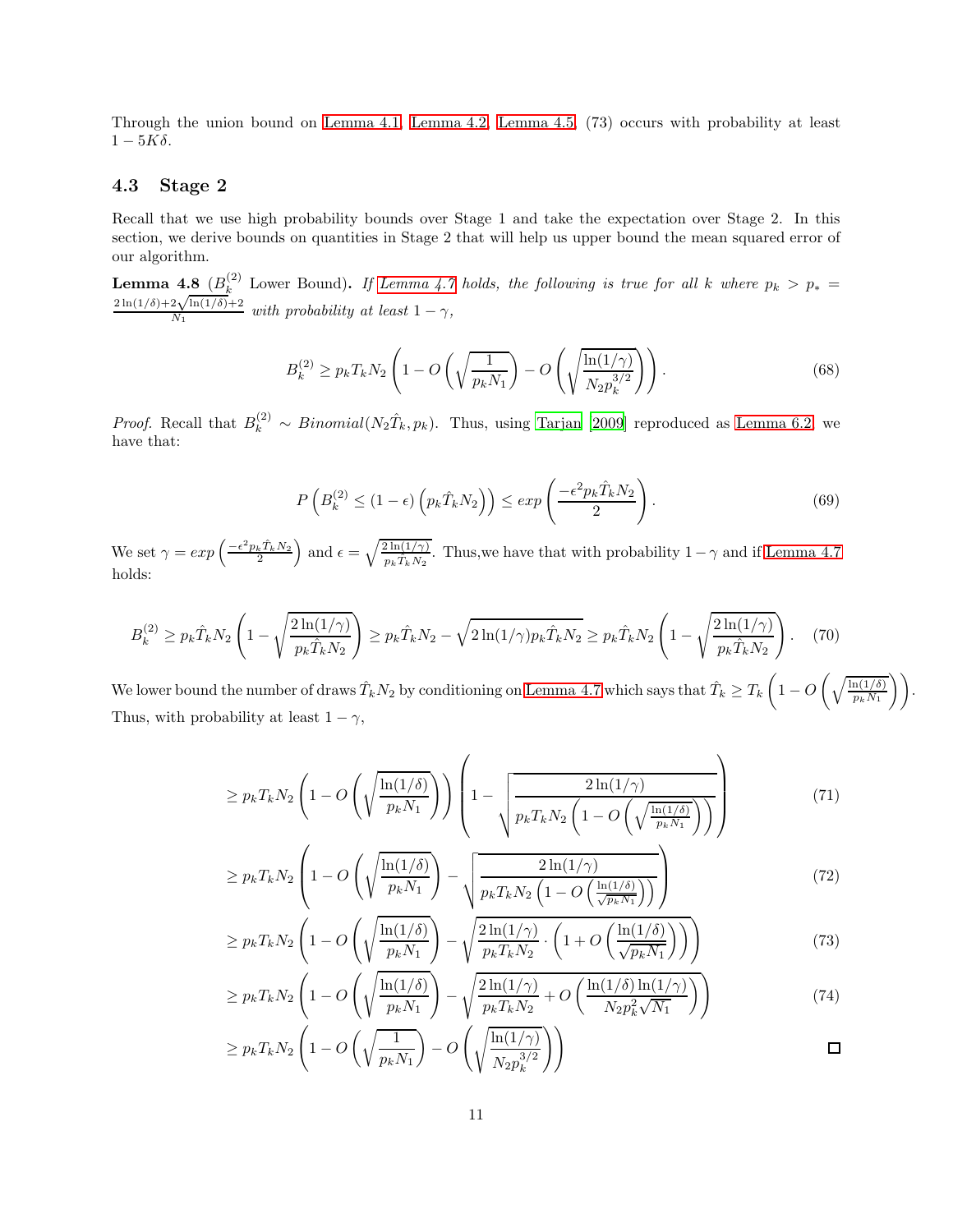Through the union bound on [Lemma 4.1,](#page-4-0) [Lemma 4.2,](#page-5-0) [Lemma 4.5,](#page-7-1) (73) occurs with probability at least  $1-5K\delta$ .

#### 4.3 Stage 2

Recall that we use high probability bounds over Stage 1 and take the expectation over Stage 2. In this section, we derive bounds on quantities in Stage 2 that will help us upper bound the mean squared error of our algorithm.

<span id="page-10-0"></span>**Lemma 4.8**  $(B_k^{(2)}$  Lower Bound). If [Lemma 4.7](#page-8-0) holds, the following is true for all k where  $p_k > p_* = 2\ln(1/\delta) + 2\sqrt{\ln(1/\delta)} + 2$  $\frac{2\sqrt{\ln(1/\sigma)+2}}{N_1}$  with probability at least  $1-\gamma$ ,

$$
B_k^{(2)} \ge p_k T_k N_2 \left( 1 - O\left(\sqrt{\frac{1}{p_k N_1}}\right) - O\left(\sqrt{\frac{\ln(1/\gamma)}{N_2 p_k^{3/2}}}\right) \right). \tag{68}
$$

*Proof.* Recall that  $B_k^{(2)} \sim Binomial(N_2\hat{T}_k, p_k)$ . Thus, using [Tarjan \[2009\]](#page-17-2) reproduced as [Lemma 6.2,](#page-17-3) we have that:

$$
P\left(B_k^{(2)} \le (1 - \epsilon) \left(p_k \hat{T}_k N_2\right)\right) \le \exp\left(\frac{-\epsilon^2 p_k \hat{T}_k N_2}{2}\right). \tag{69}
$$

We set  $\gamma = exp\left(\frac{-\epsilon^2 p_k \hat{T}_k N_2}{2}\right)$  and  $\epsilon = \sqrt{\frac{2 \ln(1/\gamma)}{p_k \hat{T}_k N_2}}$  $\frac{2 \ln(1/\gamma)}{p_k \hat{T}_k N_2}$ . Thus, we have that with probability  $1-\gamma$  and if [Lemma 4.7](#page-8-0) holds:

$$
B_k^{(2)} \ge p_k \hat{T}_k N_2 \left( 1 - \sqrt{\frac{2\ln(1/\gamma)}{p_k \hat{T}_k N_2}} \right) \ge p_k \hat{T}_k N_2 - \sqrt{2\ln(1/\gamma)p_k \hat{T}_k N_2} \ge p_k \hat{T}_k N_2 \left( 1 - \sqrt{\frac{2\ln(1/\gamma)}{p_k \hat{T}_k N_2}} \right). \tag{70}
$$

We lower bound the number of draws  $\hat{T}_k N_2$  by conditioning on [Lemma 4.7](#page-8-0) which says that  $\hat{T}_k \geq T_k \left(1 - O\left(\sqrt{\frac{\ln(1/\delta)}{p_k N_1}}\right)\right)$ . Thus, with probability at least  $1 - \gamma$ ,

$$
\geq p_k T_k N_2 \left( 1 - O\left(\sqrt{\frac{\ln(1/\delta)}{p_k N_1}}\right) \right) \left( 1 - \sqrt{\frac{2 \ln(1/\gamma)}{p_k T_k N_2 \left( 1 - O\left(\sqrt{\frac{\ln(1/\delta)}{p_k N_1}}\right)} \right)} \right) \tag{71}
$$

$$
\geq p_k T_k N_2 \left( 1 - O\left( \sqrt{\frac{\ln(1/\delta)}{p_k N_1}} \right) - \sqrt{\frac{2 \ln(1/\gamma)}{p_k T_k N_2 \left( 1 - O\left(\frac{\ln(1/\delta)}{\sqrt{p_k N_1}}\right) \right)}} \right) \tag{72}
$$

$$
\geq p_k T_k N_2 \left( 1 - O\left( \sqrt{\frac{\ln(1/\delta)}{p_k N_1}} \right) - \sqrt{\frac{2 \ln(1/\gamma)}{p_k T_k N_2}} \cdot \left( 1 + O\left( \frac{\ln(1/\delta)}{\sqrt{p_k N_1}} \right) \right) \right) \tag{73}
$$

$$
\geq p_k T_k N_2 \left( 1 - O\left( \sqrt{\frac{\ln(1/\delta)}{p_k N_1}} \right) - \sqrt{\frac{2 \ln(1/\gamma)}{p_k T_k N_2} + O\left( \frac{\ln(1/\delta) \ln(1/\gamma)}{N_2 p_k^2 \sqrt{N_1}} \right)} \right) \tag{74}
$$

$$
\geq p_k T_k N_2 \left(1 - O\left(\sqrt{\frac{1}{p_k N_1}}\right) - O\left(\sqrt{\frac{\ln(1/\gamma)}{N_2 p_k^{3/2}}}\right)\right)
$$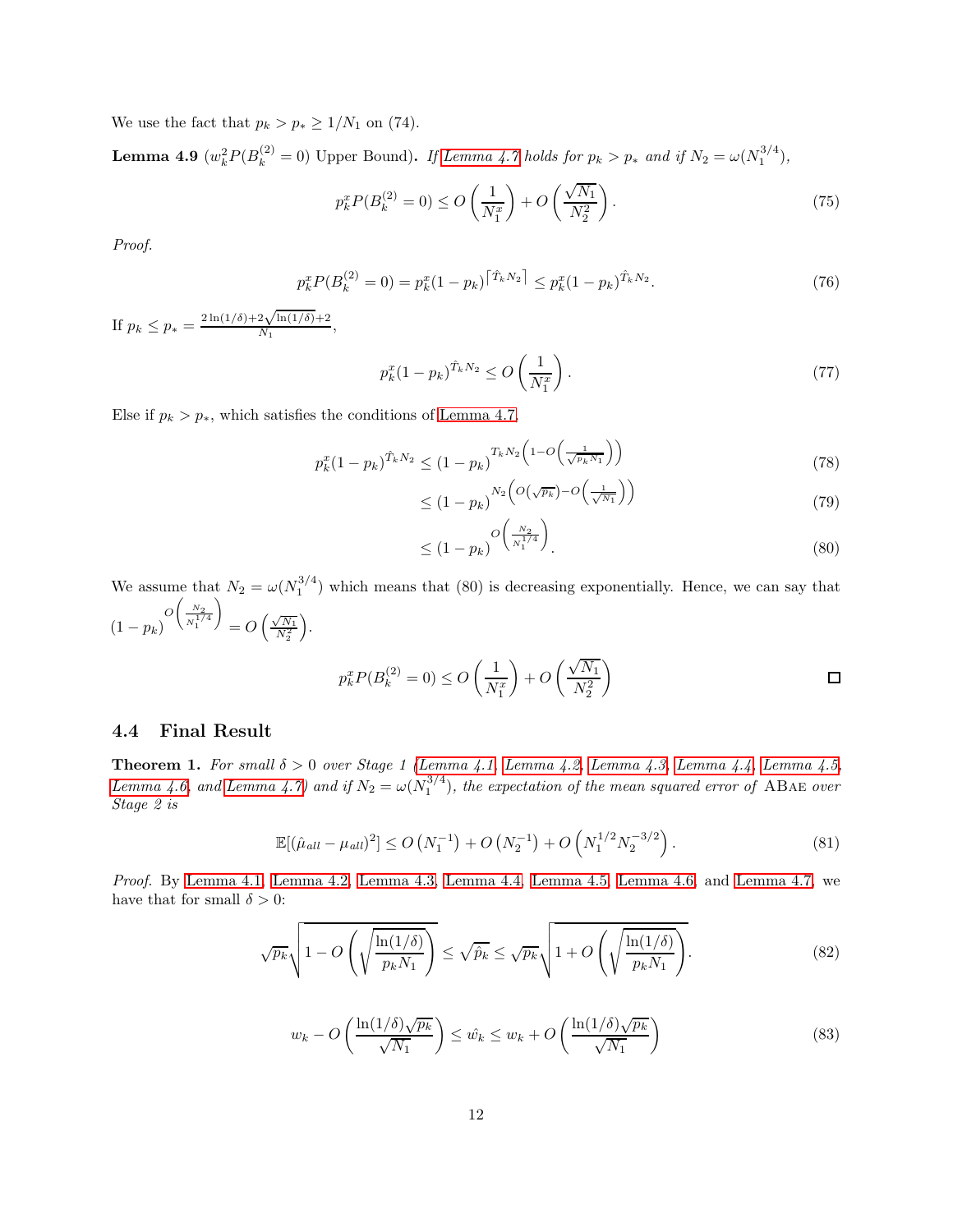<span id="page-11-0"></span>We use the fact that  $p_k > p_* \geq 1/N_1$  on (74).

**Lemma 4.9**  $(w_k^2 P(B_k^{(2)} = 0)$  Upper Bound). If [Lemma 4.7](#page-8-0) holds for  $p_k > p_*$  and if  $N_2 = \omega(N_1^{3/4})$ ,

$$
p_k^x P(B_k^{(2)} = 0) \le O\left(\frac{1}{N_1^x}\right) + O\left(\frac{\sqrt{N_1}}{N_2^2}\right). \tag{75}
$$

Proof.

$$
p_k^x P(B_k^{(2)} = 0) = p_k^x (1 - p_k)^{\left[\hat{T}_k N_2\right]} \le p_k^x (1 - p_k)^{\hat{T}_k N_2}.
$$
\n<sup>(76)</sup>

If  $p_k \leq p_* =$  $2\ln(1/\delta) + 2\sqrt{\ln(1/\delta)} + 2$  $\frac{2\sqrt{m(10)+2}}{N_1},$ 

$$
p_k^x (1 - p_k)^{\hat{T}_k N_2} \le O\left(\frac{1}{N_1^x}\right).
$$
\n(77)

Else if  $p_k > p_*$ , which satisfies the conditions of [Lemma 4.7,](#page-8-0)

$$
p_k^x (1 - p_k)^{\hat{T}_k N_2} \le (1 - p_k)^{T_k N_2} \left( 1 - O\left(\frac{1}{\sqrt{p_k N_1}}\right) \right) \tag{78}
$$

$$
\leq (1 - p_k)^{N_2} \left( O(\sqrt{p_k}) - O\left(\frac{1}{\sqrt{N_1}}\right) \right) \tag{79}
$$

$$
\leq (1 - p_k)^{O\left(\frac{N_2}{N_1^{1/4}}\right)}.
$$
\n(80)

We assume that  $N_2 = \omega(N_1^{3/4})$  which means that (80) is decreasing exponentially. Hence, we can say that  $(1-p_k)^{O\left(\frac{N_2}{N_1^{1/4}}\right)}$  $\setminus$  $= O\left(\frac{\sqrt{N_1}}{N_2^2}\right)$ .

$$
p_k^x P(B_k^{(2)} = 0) \le O\left(\frac{1}{N_1^x}\right) + O\left(\frac{\sqrt{N_1}}{N_2^2}\right)
$$

#### <span id="page-11-1"></span>4.4 Final Result

Theorem 1. For small  $\delta > 0$  over Stage 1 [\(Lemma 4.1,](#page-4-0) [Lemma 4.2,](#page-5-0) [Lemma 4.3,](#page-5-1) [Lemma 4.4,](#page-7-0) [Lemma 4.5,](#page-7-1) [Lemma 4.6,](#page-8-1) and [Lemma 4.7\)](#page-8-0) and if  $N_2 = \omega(N_1^{3/4})$ , the expectation of the mean squared error of ABAE over Stage 2 is

$$
\mathbb{E}[(\hat{\mu}_{all} - \mu_{all})^2] \le O\left(N_1^{-1}\right) + O\left(N_2^{-1}\right) + O\left(N_1^{1/2} N_2^{-3/2}\right). \tag{81}
$$

Proof. By [Lemma 4.1,](#page-4-0) [Lemma 4.2,](#page-5-0) [Lemma 4.3,](#page-5-1) [Lemma 4.4,](#page-7-0) [Lemma 4.5,](#page-7-1) [Lemma 4.6,](#page-8-1) and [Lemma 4.7,](#page-8-0) we have that for small  $\delta > 0$ :

$$
\sqrt{p_k} \sqrt{1 - O\left(\sqrt{\frac{\ln(1/\delta)}{p_k N_1}}\right)} \le \sqrt{\hat{p}_k} \le \sqrt{p_k} \sqrt{1 + O\left(\sqrt{\frac{\ln(1/\delta)}{p_k N_1}}\right)}.
$$
\n(82)

$$
w_k - O\left(\frac{\ln(1/\delta)\sqrt{p_k}}{\sqrt{N_1}}\right) \le \hat{w_k} \le w_k + O\left(\frac{\ln(1/\delta)\sqrt{p_k}}{\sqrt{N_1}}\right) \tag{83}
$$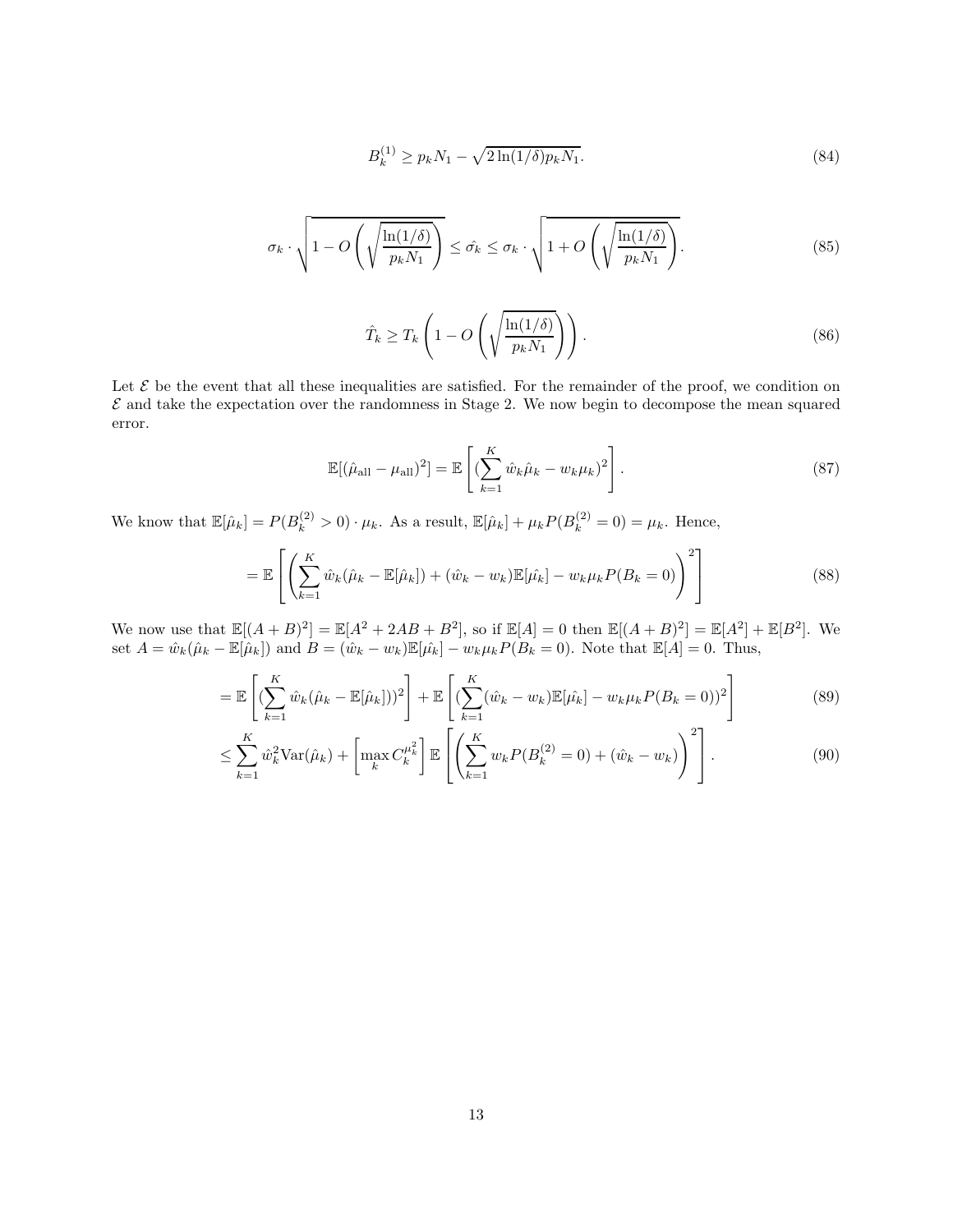$$
B_k^{(1)} \ge p_k N_1 - \sqrt{2\ln(1/\delta)p_k N_1}.
$$
\n(84)

$$
\sigma_k \cdot \sqrt{1 - O\left(\sqrt{\frac{\ln(1/\delta)}{p_k N_1}}\right)} \leq \hat{\sigma_k} \leq \sigma_k \cdot \sqrt{1 + O\left(\sqrt{\frac{\ln(1/\delta)}{p_k N_1}}\right)}.
$$
\n(85)

$$
\hat{T}_k \ge T_k \left( 1 - O\left( \sqrt{\frac{\ln(1/\delta)}{p_k N_1}} \right) \right). \tag{86}
$$

Let  $\mathcal E$  be the event that all these inequalities are satisfied. For the remainder of the proof, we condition on  $\mathcal E$  and take the expectation over the randomness in Stage 2. We now begin to decompose the mean squared error.

$$
\mathbb{E}[(\hat{\mu}_{\text{all}} - \mu_{\text{all}})^2] = \mathbb{E}\left[ (\sum_{k=1}^K \hat{w}_k \hat{\mu}_k - w_k \mu_k)^2 \right].
$$
 (87)

We know that  $\mathbb{E}[\hat{\mu}_k] = P(B_k^{(2)} > 0) \cdot \mu_k$ . As a result,  $\mathbb{E}[\hat{\mu}_k] + \mu_k P(B_k^{(2)} = 0) = \mu_k$ . Hence,

$$
= \mathbb{E}\left[\left(\sum_{k=1}^{K} \hat{w}_k(\hat{\mu}_k - \mathbb{E}[\hat{\mu}_k]) + (\hat{w}_k - w_k)\mathbb{E}[\hat{\mu}_k] - w_k \mu_k P(B_k = 0)\right)^2\right]
$$
(88)

We now use that  $\mathbb{E}[(A + B)^2] = \mathbb{E}[A^2 + 2AB + B^2]$ , so if  $\mathbb{E}[A] = 0$  then  $\mathbb{E}[(A + B)^2] = \mathbb{E}[A^2] + \mathbb{E}[B^2]$ . We set  $A = \hat{w}_k(\hat{\mu}_k - \mathbb{E}[\hat{\mu}_k])$  and  $B = (\hat{w}_k - w_k)\mathbb{E}[\hat{\mu}_k] - w_k\mu_kP(B_k = 0)$ . Note that  $\mathbb{E}[A] = 0$ . Thus,

$$
= \mathbb{E}\left[ \left( \sum_{k=1}^{K} \hat{w}_k (\hat{\mu}_k - \mathbb{E}[\hat{\mu}_k]) \right)^2 \right] + \mathbb{E}\left[ \left( \sum_{k=1}^{K} (\hat{w}_k - w_k) \mathbb{E}[\hat{\mu}_k] - w_k \mu_k P(B_k = 0) \right)^2 \right]
$$
(89)

$$
\leq \sum_{k=1}^{K} \hat{w}_k^2 \text{Var}(\hat{\mu}_k) + \left[ \max_k C_k^{\mu_k^2} \right] \mathbb{E} \left[ \left( \sum_{k=1}^{K} w_k P(B_k^{(2)} = 0) + (\hat{w}_k - w_k) \right)^2 \right]. \tag{90}
$$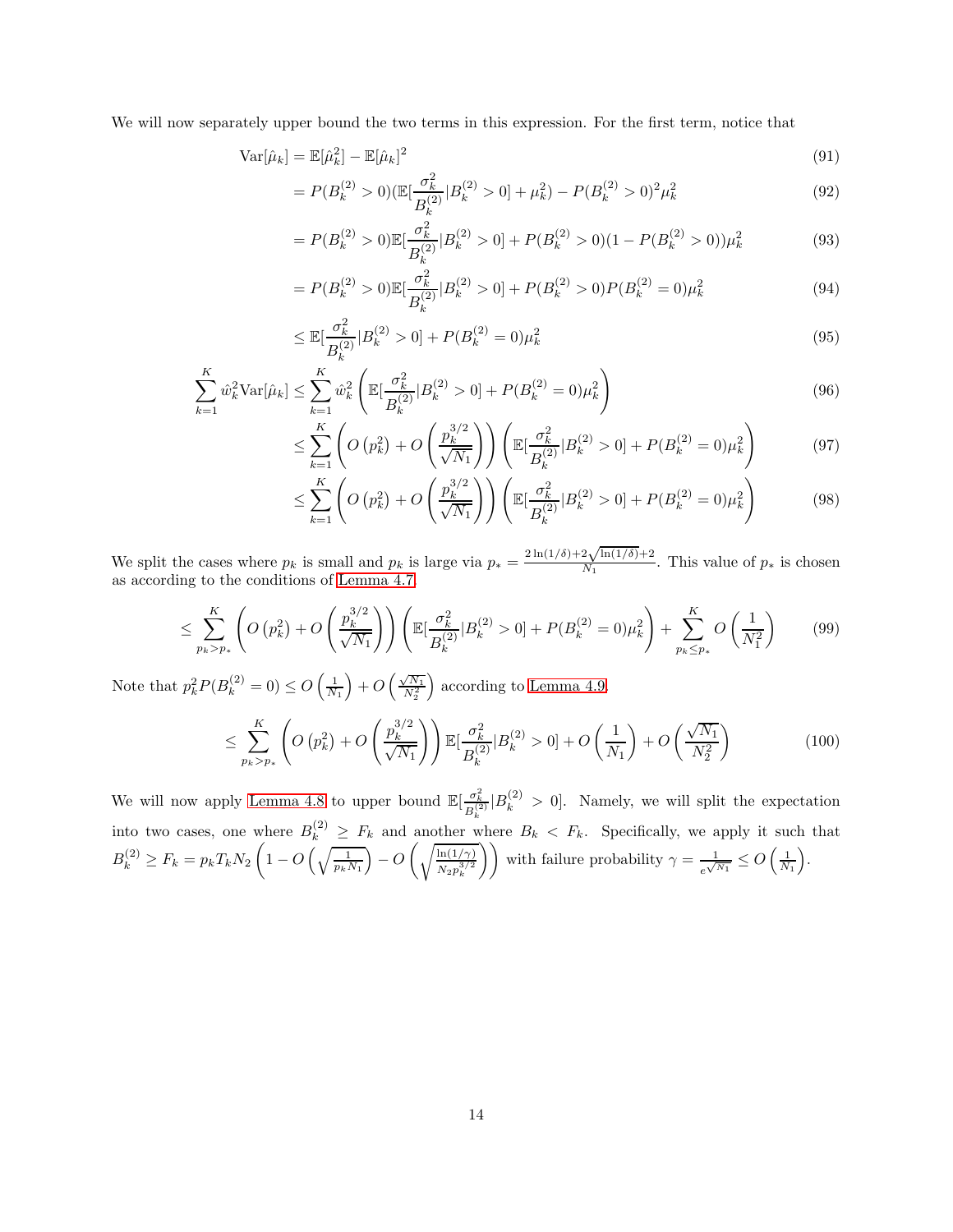We will now separately upper bound the two terms in this expression. For the first term, notice that

$$
\text{Var}[\hat{\mu}_k] = \mathbb{E}[\hat{\mu}_k^2] - \mathbb{E}[\hat{\mu}_k]^2 \tag{91}
$$

$$
=P(B_k^{(2)} > 0)(\mathbb{E}[\frac{\sigma_k^2}{B_k^{(2)}}|B_k^{(2)} > 0] + \mu_k^2) - P(B_k^{(2)} > 0)^2 \mu_k^2
$$
\n(92)

$$
=P(B_k^{(2)} > 0)\mathbb{E}[\frac{\sigma_k^2}{B_k^{(2)}}|B_k^{(2)} > 0] + P(B_k^{(2)} > 0)(1 - P(B_k^{(2)} > 0))\mu_k^2
$$
\n(93)

$$
=P(B_k^{(2)} > 0)\mathbb{E}[\frac{\sigma_k^2}{B_k^{(2)}}|B_k^{(2)} > 0] + P(B_k^{(2)} > 0)P(B_k^{(2)} = 0)\mu_k^2
$$
\n(94)

$$
\leq \mathbb{E}[\frac{\sigma_k^2}{B_k^{(2)}}|B_k^{(2)} > 0] + P(B_k^{(2)} = 0)\mu_k^2
$$
\n(95)

$$
\sum_{k=1}^{K} \hat{w}_k^2 \text{Var}[\hat{\mu}_k] \le \sum_{k=1}^{K} \hat{w}_k^2 \left( \mathbb{E}[\frac{\sigma_k^2}{B_k^{(2)}} | B_k^{(2)} > 0] + P(B_k^{(2)} = 0) \mu_k^2 \right)
$$
\n(96)

$$
\leq \sum_{k=1}^{K} \left( O\left(p_k^2\right) + O\left(\frac{p_k^{3/2}}{\sqrt{N_1}}\right) \right) \left( \mathbb{E}[\frac{\sigma_k^2}{B_k^{(2)}} | B_k^{(2)} > 0] + P(B_k^{(2)} = 0)\mu_k^2 \right) \tag{97}
$$

$$
\leq \sum_{k=1}^{K} \left( O\left(p_k^2\right) + O\left(\frac{p_k^{3/2}}{\sqrt{N_1}}\right) \right) \left( \mathbb{E}[\frac{\sigma_k^2}{B_k^{(2)}} | B_k^{(2)} > 0] + P(B_k^{(2)} = 0) \mu_k^2 \right) \tag{98}
$$

We split the cases where  $p_k$  is small and  $p_k$  is large via  $p_* =$  $2\ln(1/\delta) + 2\sqrt{\ln(1/\delta)} + 2$  $\frac{2\sqrt{\ln(1/\theta)+2}}{N_1}$ . This value of  $p_*$  is chosen as according to the conditions of [Lemma 4.7.](#page-8-0)

$$
\leq \sum_{p_k > p_*}^{K} \left( O\left(p_k^2\right) + O\left(\frac{p_k^{3/2}}{\sqrt{N_1}}\right) \right) \left( \mathbb{E}[\frac{\sigma_k^2}{B_k^{(2)}} | B_k^{(2)} > 0] + P(B_k^{(2)} = 0) \mu_k^2 \right) + \sum_{p_k \leq p_*}^{K} O\left(\frac{1}{N_1^2}\right) \tag{99}
$$

Note that  $p_k^2 P(B_k^{(2)} = 0) \le O\left(\frac{1}{N_1}\right) + O\left(\frac{\sqrt{N_1}}{N_2^2}\right)$ according to [Lemma 4.9.](#page-11-0)

$$
\leq \sum_{p_k > p_*}^{K} \left( O\left(p_k^2\right) + O\left(\frac{p_k^{3/2}}{\sqrt{N_1}}\right) \right) \mathbb{E}[\frac{\sigma_k^2}{B_k^{(2)}} | B_k^{(2)} > 0] + O\left(\frac{1}{N_1}\right) + O\left(\frac{\sqrt{N_1}}{N_2^2}\right) \tag{100}
$$

We will now apply [Lemma 4.8](#page-10-0) to upper bound  $\mathbb{E}[\frac{\sigma_k^2}{B_k^{(2)}}|B_k^{(2)} > 0]$ . Namely, we will split the expectation into two cases, one where  $B_k^{(2)} \geq F_k$  and another where  $B_k \leq F_k$ . Specifically, we apply it such that  $B_k^{(2)} \geq F_k = p_k T_k N_2 \left(1 - O\left(\sqrt{\frac{1}{p_k N_1}}\right) - O\left(\sqrt{\frac{\ln(1/\gamma)}{N_2 p_1^{3/2}}}\right)\right)$  $\frac{\ln(1/\gamma)}{N_2 p_k^{3/2}}$  with failure probability  $\gamma = \frac{1}{e^{\sqrt{N_1}}} \leq O\left(\frac{1}{N_1}\right)$ .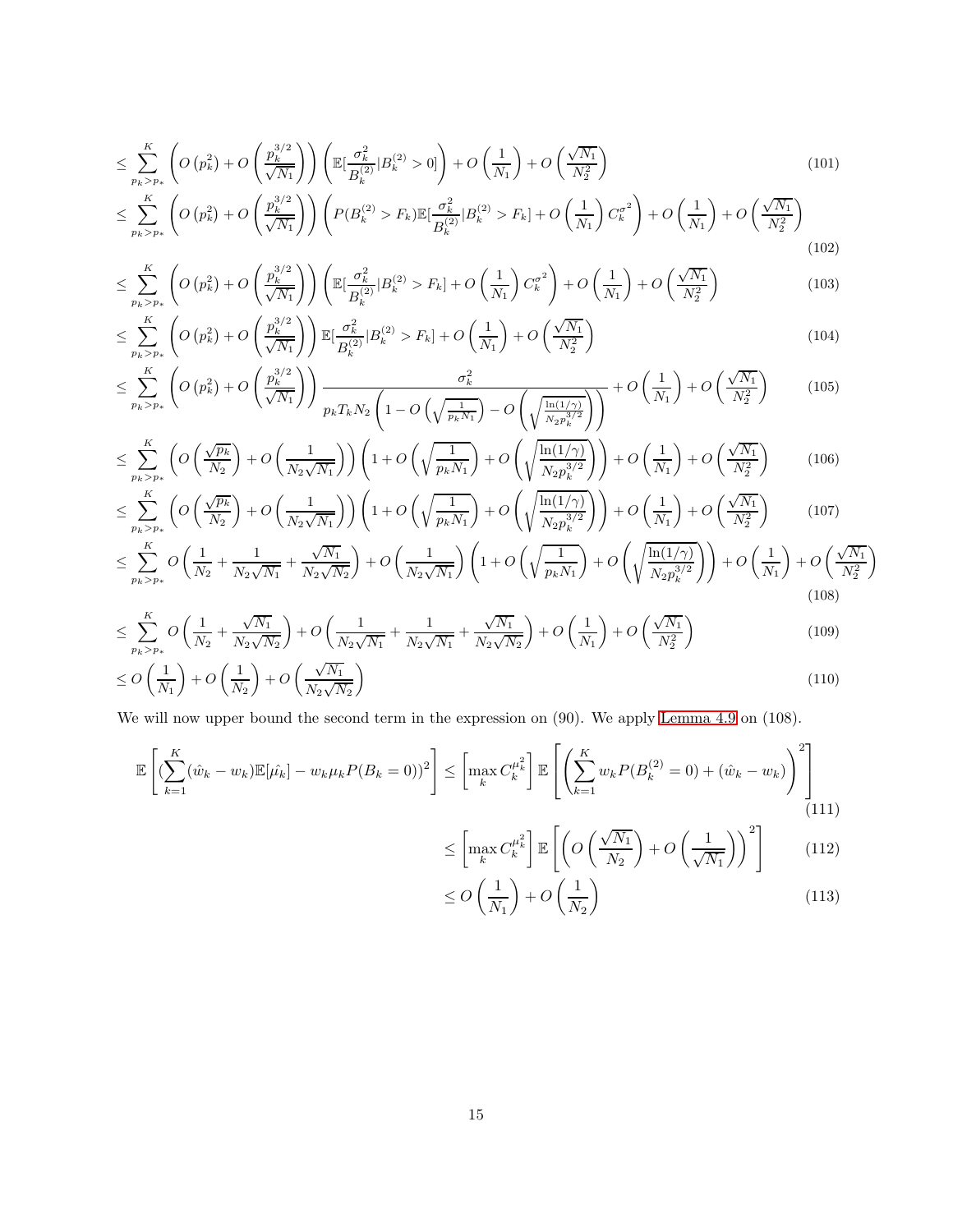$$
\leq \sum_{p_k > p_*}^{K} \left( O\left(p_k^2\right) + O\left(\frac{p_k^{3/2}}{\sqrt{N_1}}\right) \right) \left( \mathbb{E}[\frac{\sigma_k^2}{B_k^{(2)}} | B_k^{(2)} > 0] \right) + O\left(\frac{1}{N_1}\right) + O\left(\frac{\sqrt{N_1}}{N_2^2}\right) \\
\leq \sum_{p_k > p_*}^{K} \left( O\left(p_k^2\right) + O\left(\frac{p_k^{3/2}}{\sqrt{N_1}}\right) \right) \left( P(B_k^{(2)} > F_k) \mathbb{E}[\frac{\sigma_k^2}{B_k^{(2)}} | B_k^{(2)} > F_k] + O\left(\frac{1}{N_1}\right) C_k^{\sigma^2} \right) + O\left(\frac{1}{N_1}\right) + O\left(\frac{\sqrt{N_1}}{N_2^2}\right) \\
\leq \sum_{p_k > p_*}^{K} \left( O\left(p_k^2\right) + O\left(\frac{p_k^{3/2}}{\sqrt{N_1}}\right) \right) \left( P(B_k^{(2)} > F_k) \mathbb{E}[\frac{\sigma_k^2}{B_k^{(2)}} | B_k^{(2)} > F_k] + O\left(\frac{1}{N_1}\right) C_k^{\sigma^2} \right) + O\left(\frac{1}{N_1}\right) + O\left(\frac{\sqrt{N_1}}{N_2^2}\right) \\
\leq \sum_{p_k > p_*}^{K} \left( O\left(p_k^2\right) + O\left(\frac{p_k^{3/2}}{\sqrt{N_1}}\right) \right) \left( P(B_k^{(2)} > F_k) \mathbb{E}[\frac{\sigma_k^2}{B_k^{(2)}} | B_k^{(2)} > F_k] \right) + O\left(\frac{1}{N_1}\right) + O\left(\frac{1}{N_1}\right) + O\left(\frac{\sqrt{N_1}}{N_2^2}\right) \\
\leq \sum_{p_k > p_*}^{K} \left( O\left(p_k^2\right) + O\left(\frac{p_k^{3/2}}{\sqrt{N_1}}\right) \right) \left( P(B_k^{(2)} > F_k) \mathbb{E}[\frac{\sigma_k^2}{B_k^{(2)}} | B_k^{(2)} > F_k] \right) + O\left(\frac{1}{N_1}\right)
$$

$$
\tag{102}
$$

$$
\leq \sum_{p_k > p_*}^{K} \left( O\left(p_k^2\right) + O\left(\frac{p_k^{3/2}}{\sqrt{N_1}}\right) \right) \left( \mathbb{E}\left[\frac{\sigma_k^2}{B_k^{(2)}} | B_k^{(2)} > F_k \right] + O\left(\frac{1}{N_1}\right) C_k^{\sigma^2} \right) + O\left(\frac{1}{N_1}\right) + O\left(\frac{\sqrt{N_1}}{N_2^2}\right) \tag{103}
$$

$$
\leq \sum_{p_k > p_*}^{K} \left( O\left(p_k^2\right) + O\left(\frac{p_k^{3/2}}{\sqrt{N_1}}\right) \right) \mathbb{E}[\frac{\sigma_k^2}{B_k^{(2)}} | B_k^{(2)} > F_k] + O\left(\frac{1}{N_1}\right) + O\left(\frac{\sqrt{N_1}}{N_2^2}\right) \tag{104}
$$

$$
\leq \sum_{p_k > p_*}^{K} \left( O\left(p_k^2\right) + O\left(\frac{p_k^{3/2}}{\sqrt{N_1}}\right) \right) \frac{\sigma_k^2}{p_k T_k N_2 \left(1 - O\left(\sqrt{\frac{1}{p_k N_1}}\right) - O\left(\sqrt{\frac{\ln(1/\gamma)}{N_2 p_k^{3/2}}}\right)\right)} + O\left(\frac{1}{N_1}\right) + O\left(\frac{\sqrt{N_1}}{N_2^2}\right) \tag{105}
$$

$$
\leq \sum_{p_k > p_*}^{K} \left( O\left(\frac{\sqrt{p_k}}{N_2}\right) + O\left(\frac{1}{N_2\sqrt{N_1}}\right) \right) \left(1 + O\left(\sqrt{\frac{1}{p_k N_1}}\right) + O\left(\sqrt{\frac{\ln(1/\gamma)}{N_2 p_k^{3/2}}}\right)\right) + O\left(\frac{1}{N_1}\right) + O\left(\frac{\sqrt{N_1}}{N_2^2}\right) \tag{106}
$$

$$
\leq \sum_{p_k > p_*}^{K} \left( O\left(\frac{\sqrt{p_k}}{N_2}\right) + O\left(\frac{1}{N_2\sqrt{N_1}}\right) \right) \left(1 + O\left(\sqrt{\frac{1}{p_k N_1}}\right) + O\left(\sqrt{\frac{\ln(1/\gamma)}{N_2 p_k^{3/2}}}\right)\right) + O\left(\frac{1}{N_1}\right) + O\left(\frac{\sqrt{N_1}}{N_2^2}\right) \tag{107}
$$

$$
\leq \sum_{p_k > p_*}^{K} O\left(\frac{1}{N_2} + \frac{1}{N_2\sqrt{N_1}} + \frac{\sqrt{N_1}}{N_2\sqrt{N_2}}\right) + O\left(\frac{1}{N_2\sqrt{N_1}}\right) \left(1 + O\left(\sqrt{\frac{1}{p_k N_1}}\right) + O\left(\sqrt{\frac{\ln(1/\gamma)}{N_2 p_k^{3/2}}}\right)\right) + O\left(\frac{1}{N_1}\right) + O\left(\frac{\sqrt{N_1}}{N_2^2}\right) \tag{108}
$$

$$
\leq \sum_{p_k > p_*}^{K} O\left(\frac{1}{N_2} + \frac{\sqrt{N_1}}{N_2\sqrt{N_2}}\right) + O\left(\frac{1}{N_2\sqrt{N_1}} + \frac{1}{N_2\sqrt{N_1}} + \frac{\sqrt{N_1}}{N_2\sqrt{N_2}}\right) + O\left(\frac{1}{N_1}\right) + O\left(\frac{\sqrt{N_1}}{N_2^2}\right) \tag{109}
$$
\n
$$
\leq O\left(\frac{1}{N_1}\right) + O\left(\frac{1}{N_2}\right) + O\left(\frac{\sqrt{N_1}}{N_2\sqrt{N_2}}\right) \tag{110}
$$

We will now upper bound the second term in the expression on (90). We apply [Lemma 4.9](#page-11-0) on (108).

$$
\mathbb{E}\left[ (\sum_{k=1}^{K} (\hat{w}_k - w_k) \mathbb{E}[\hat{\mu_k}] - w_k \mu_k P(B_k = 0))^2 \right] \le \left[ \max_k C_k^{\mu_k^2} \right] \mathbb{E}\left[ \left( \sum_{k=1}^{K} w_k P(B_k^{(2)} = 0) + (\hat{w}_k - w_k) \right)^2 \right] \tag{111}
$$

$$
\leq \left[\max_{k} C_{k}^{\mu_{k}^{2}}\right] \mathbb{E}\left[\left(O\left(\frac{\sqrt{N_{1}}}{N_{2}}\right) + O\left(\frac{1}{\sqrt{N_{1}}}\right)\right)^{2}\right] \tag{112}
$$

$$
\leq O\left(\frac{1}{N_1}\right) + O\left(\frac{1}{N_2}\right) \tag{113}
$$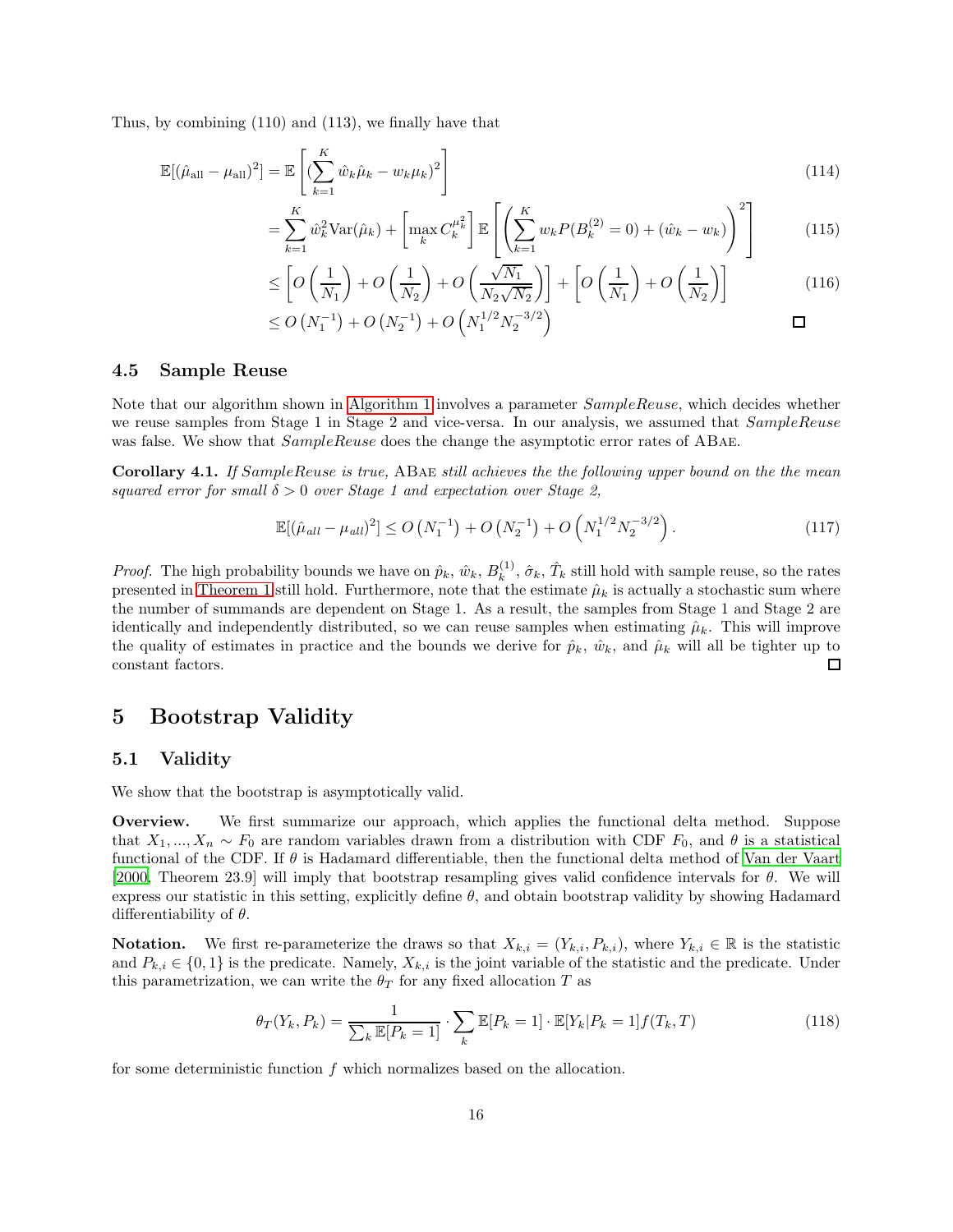Thus, by combining (110) and (113), we finally have that

$$
\mathbb{E}[(\hat{\mu}_{\text{all}} - \mu_{\text{all}})^2] = \mathbb{E}\left[ (\sum_{k=1}^K \hat{w}_k \hat{\mu}_k - w_k \mu_k)^2 \right]
$$
(114)

$$
= \sum_{k=1}^{K} \hat{w}_k^2 \text{Var}(\hat{\mu}_k) + \left[ \max_k C_k^{\mu_k^2} \right] \mathbb{E} \left[ \left( \sum_{k=1}^{K} w_k P(B_k^{(2)} = 0) + (\hat{w}_k - w_k) \right)^2 \right] \tag{115}
$$

$$
\leq \left[O\left(\frac{1}{N_1}\right) + O\left(\frac{1}{N_2}\right) + O\left(\frac{\sqrt{N_1}}{N_2\sqrt{N_2}}\right)\right] + \left[O\left(\frac{1}{N_1}\right) + O\left(\frac{1}{N_2}\right)\right] \tag{116}
$$

$$
\leq O\left(N_1^{-1}\right) + O\left(N_2^{-1}\right) + O\left(N_1^{1/2} N_2^{-3/2}\right) \qquad \qquad \Box
$$

#### 4.5 Sample Reuse

Note that our algorithm shown in [Algorithm 1](#page-1-0) involves a parameter *SampleReuse*, which decides whether we reuse samples from Stage 1 in Stage 2 and vice-versa. In our analysis, we assumed that  $SampleReuse$ was false. We show that  $SampleReuse$  does the change the asymptotic error rates of ABAE.

<span id="page-15-0"></span>Corollary 4.1. If SampleReuse is true, ABae still achieves the the following upper bound on the the mean squared error for small  $\delta > 0$  over Stage 1 and expectation over Stage 2,

$$
\mathbb{E}[(\hat{\mu}_{all} - \mu_{all})^2] \le O\left(N_1^{-1}\right) + O\left(N_2^{-1}\right) + O\left(N_1^{1/2} N_2^{-3/2}\right). \tag{117}
$$

*Proof.* The high probability bounds we have on  $\hat{p}_k$ ,  $\hat{w}_k$ ,  $B_k^{(1)}$  $\hat{k}^{(1)}$ ,  $\hat{\sigma}_k$ ,  $\hat{T}_k$  still hold with sample reuse, so the rates presented in [Theorem 1](#page-11-1) still hold. Furthermore, note that the estimate  $\hat{\mu}_k$  is actually a stochastic sum where the number of summands are dependent on Stage 1. As a result, the samples from Stage 1 and Stage 2 are identically and independently distributed, so we can reuse samples when estimating  $\hat{\mu}_k$ . This will improve the quality of estimates in practice and the bounds we derive for  $\hat{p}_k$ ,  $\hat{w}_k$ , and  $\hat{\mu}_k$  will all be tighter up to constant factors.  $\Box$ 

### 5 Bootstrap Validity

#### 5.1 Validity

We show that the bootstrap is asymptotically valid.

Overview. We first summarize our approach, which applies the functional delta method. Suppose that  $X_1, ..., X_n \sim F_0$  are random variables drawn from a distribution with CDF  $F_0$ , and  $\theta$  is a statistical functional of the CDF. If  $\theta$  is Hadamard differentiable, then the functional delta method of Van [der Vaart](#page-17-8) [\[2000,](#page-17-8) Theorem 23.9] will imply that bootstrap resampling gives valid confidence intervals for  $\theta$ . We will express our statistic in this setting, explicitly define  $\theta$ , and obtain bootstrap validity by showing Hadamard differentiability of  $\theta$ .

**Notation.** We first re-parameterize the draws so that  $X_{k,i} = (Y_{k,i}, P_{k,i})$ , where  $Y_{k,i} \in \mathbb{R}$  is the statistic and  $P_{k,i} \in \{0,1\}$  is the predicate. Namely,  $X_{k,i}$  is the joint variable of the statistic and the predicate. Under this parametrization, we can write the  $\theta_T$  for any fixed allocation T as

$$
\theta_T(Y_k, P_k) = \frac{1}{\sum_k \mathbb{E}[P_k = 1]} \cdot \sum_k \mathbb{E}[P_k = 1] \cdot \mathbb{E}[Y_k | P_k = 1] f(T_k, T)
$$
\n(118)

for some deterministic function  $f$  which normalizes based on the allocation.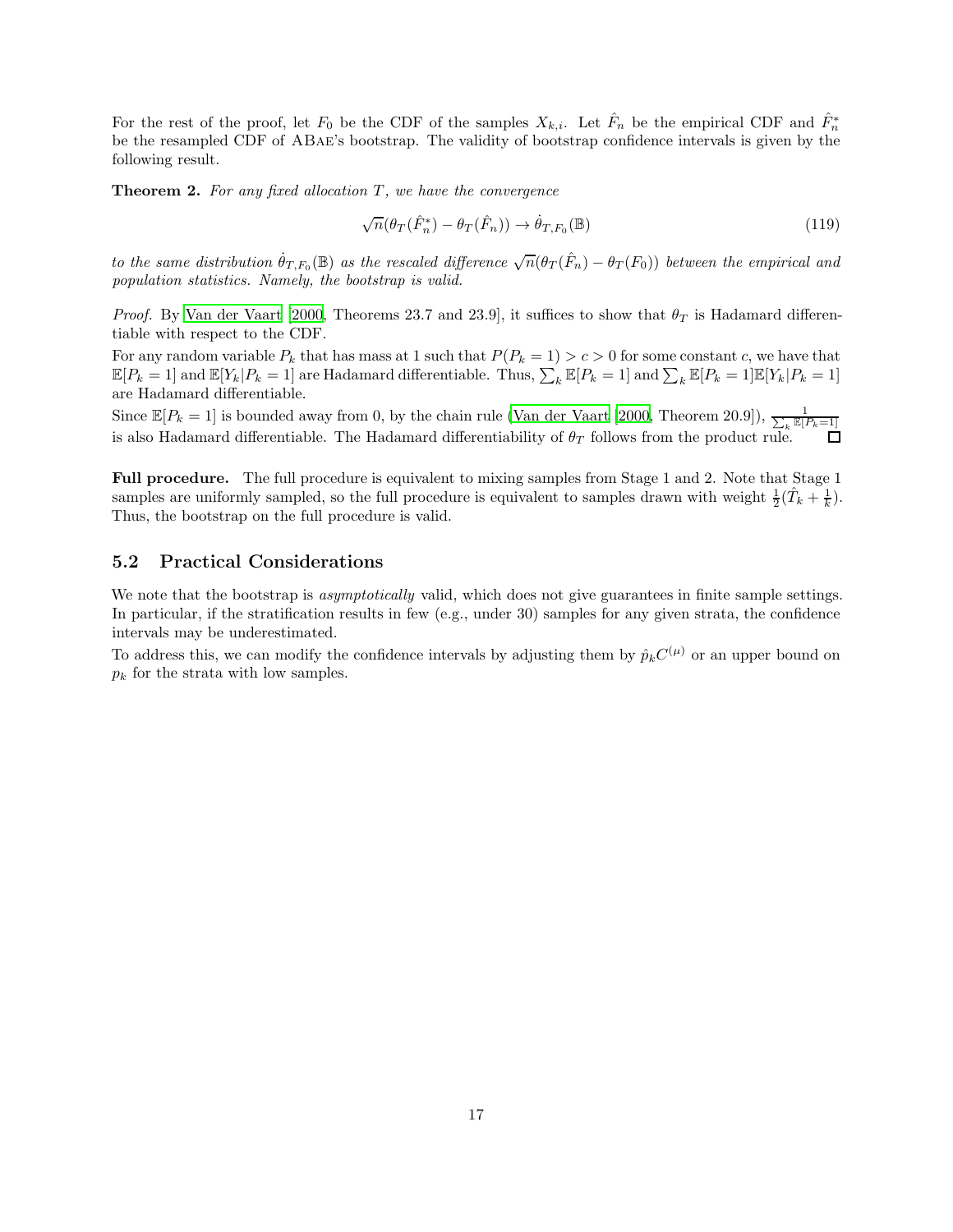For the rest of the proof, let  $F_0$  be the CDF of the samples  $X_{k,i}$ . Let  $\hat{F}_n$  be the empirical CDF and  $\hat{F}_n^*$ be the resampled CDF of ABae's bootstrap. The validity of bootstrap confidence intervals is given by the following result.

**Theorem 2.** For any fixed allocation  $T$ , we have the convergence

$$
\sqrt{n}(\theta_T(\hat{F}_n^*) - \theta_T(\hat{F}_n)) \to \dot{\theta}_{T,F_0}(\mathbb{B})
$$
\n(119)

to the same distribution  $\dot{\theta}_{T,F_0}(\mathbb{B})$  as the rescaled difference  $\sqrt{n}(\theta_T(\hat{F}_n) - \theta_T(F_0))$  between the empirical and population statistics. Namely, the bootstrap is valid.

*Proof.* By [Van der Vaart \[2000,](#page-17-8) Theorems 23.7 and 23.9], it suffices to show that  $\theta_T$  is Hadamard differentiable with respect to the CDF.

For any random variable  $P_k$  that has mass at 1 such that  $P(P_k = 1) > c > 0$  for some constant c, we have that  $\mathbb{E}[P_k = 1]$  and  $\mathbb{E}[Y_k | P_k = 1]$  are Hadamard differentiable. Thus,  $\sum_k \mathbb{E}[P_k = 1]$  and  $\sum_k \mathbb{E}[P_k = 1] \mathbb{E}[Y_k | P_k = 1]$ are Hadamard differentiable.

Since  $\mathbb{E}[P_k=1]$  is bounded away from 0, by the chain rule [\(Van der Vaart \[2000,](#page-17-8) Theorem 20.9]),  $\frac{1}{\sum_k \mathbb{E}[P_k=1]}$ is also Hadamard differentiable. The Hadamard differentiability of  $\theta_T$  follows from the product rule.

Full procedure. The full procedure is equivalent to mixing samples from Stage 1 and 2. Note that Stage 1 samples are uniformly sampled, so the full procedure is equivalent to samples drawn with weight  $\frac{1}{2}(\hat{T}_k + \frac{1}{k})$ . Thus, the bootstrap on the full procedure is valid.

#### 5.2 Practical Considerations

We note that the bootstrap is *asymptotically* valid, which does not give guarantees in finite sample settings. In particular, if the stratification results in few (e.g., under 30) samples for any given strata, the confidence intervals may be underestimated.

To address this, we can modify the confidence intervals by adjusting them by  $\hat{p}_k C^{(\mu)}$  or an upper bound on  $p_k$  for the strata with low samples.